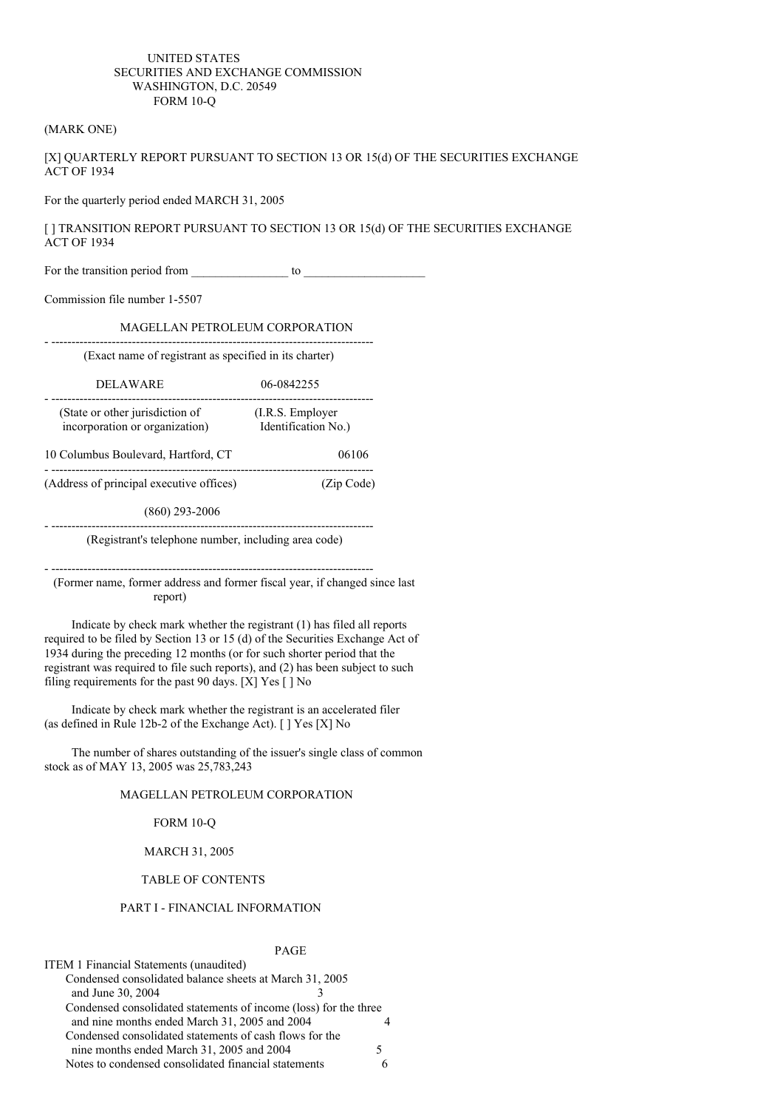### UNITED STATES SECURITIES AND EXCHANGE COMMISSION WASHINGTON, D.C. 20549 FORM 10-Q

### (MARK ONE)

[X] QUARTERLY REPORT PURSUANT TO SECTION 13 OR 15(d) OF THE SECURITIES EXCHANGE ACT OF 1934

For the quarterly period ended MARCH 31, 2005

[ ] TRANSITION REPORT PURSUANT TO SECTION 13 OR 15(d) OF THE SECURITIES EXCHANGE ACT OF 1934

For the transition period from to  $\sim$ 

Commission file number 1-5507

## MAGELLAN PETROLEUM CORPORATION

- -------------------------------------------------------------------------------- (Exact name of registrant as specified in its charter) DELAWARE 06-0842255 - -------------------------------------------------------------------------------- (State or other jurisdiction of (I.R.S. Employer incorporation or organization) Identification No.) 10 Columbus Boulevard, Hartford, CT 06106 - -------------------------------------------------------------------------------- (Address of principal executive offices) (Zip Code) (860) 293-2006

- -------------------------------------------------------------------------------- (Registrant's telephone number, including area code)

- --------------------------------------------------------------------------------

(Former name, former address and former fiscal year, if changed since last report)

Indicate by check mark whether the registrant (1) has filed all reports required to be filed by Section 13 or 15 (d) of the Securities Exchange Act of 1934 during the preceding 12 months (or for such shorter period that the registrant was required to file such reports), and (2) has been subject to such filing requirements for the past 90 days. [X] Yes [ ] No

Indicate by check mark whether the registrant is an accelerated filer (as defined in Rule 12b-2 of the Exchange Act). [ ] Yes [X] No

The number of shares outstanding of the issuer's single class of common stock as of MAY 13, 2005 was 25,783,243

MAGELLAN PETROLEUM CORPORATION

FORM 10-Q

MARCH 31, 2005

TABLE OF CONTENTS

## PART I - FINANCIAL INFORMATION

PAGE

| ITEM 1 Financial Statements (unaudited)                          |  |
|------------------------------------------------------------------|--|
| Condensed consolidated balance sheets at March 31, 2005          |  |
| and June 30, 2004                                                |  |
| Condensed consolidated statements of income (loss) for the three |  |
| and nine months ended March 31, 2005 and 2004                    |  |
| Condensed consolidated statements of cash flows for the          |  |
| nine months ended March 31, 2005 and 2004                        |  |
| Notes to condensed consolidated financial statements             |  |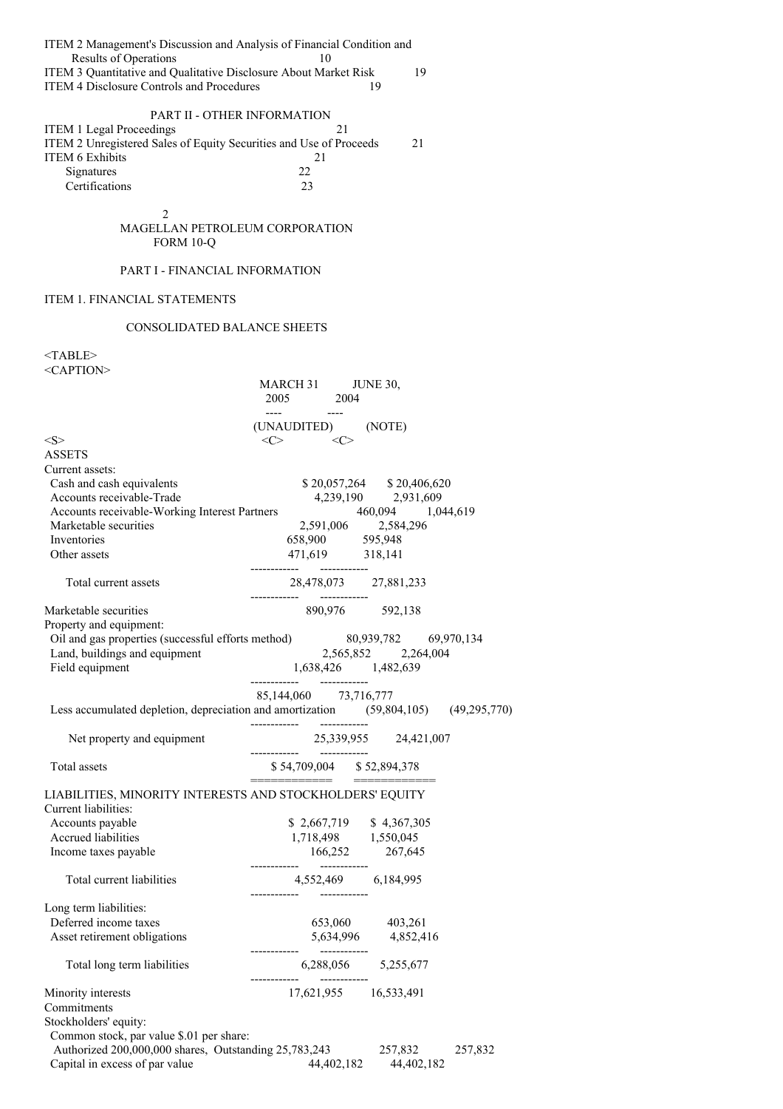| ITEM 2 Management's Discussion and Analysis of Financial Condition and                                    |                                                                                         |                                        |
|-----------------------------------------------------------------------------------------------------------|-----------------------------------------------------------------------------------------|----------------------------------------|
| Results of Operations<br>ITEM 3 Quantitative and Qualitative Disclosure About Market Risk                 | 10                                                                                      | 19                                     |
| <b>ITEM 4 Disclosure Controls and Procedures</b>                                                          |                                                                                         | 19                                     |
|                                                                                                           |                                                                                         |                                        |
| PART II - OTHER INFORMATION                                                                               |                                                                                         |                                        |
| <b>ITEM 1 Legal Proceedings</b>                                                                           | 21                                                                                      |                                        |
| ITEM 2 Unregistered Sales of Equity Securities and Use of Proceeds<br><b>ITEM 6 Exhibits</b>              | 21                                                                                      | 21                                     |
| Signatures                                                                                                | 22                                                                                      |                                        |
| Certifications                                                                                            | 23                                                                                      |                                        |
|                                                                                                           |                                                                                         |                                        |
| 2<br>MAGELLAN PETROLEUM CORPORATION<br>FORM 10-Q                                                          |                                                                                         |                                        |
| PART I - FINANCIAL INFORMATION                                                                            |                                                                                         |                                        |
| ITEM 1. FINANCIAL STATEMENTS                                                                              |                                                                                         |                                        |
| <b>CONSOLIDATED BALANCE SHEETS</b>                                                                        |                                                                                         |                                        |
| <table></table>                                                                                           |                                                                                         |                                        |
| <caption></caption>                                                                                       |                                                                                         |                                        |
|                                                                                                           | MARCH 31 JU<br>2005 2004                                                                | <b>JUNE 30,</b>                        |
|                                                                                                           | ---- 1<br>$---$<br>(UNAUDITED) (NOTE)                                                   |                                        |
| $<\!\!S\!\!>$                                                                                             | $\langle C \rangle$<br>$\langle C \rangle$                                              |                                        |
| <b>ASSETS</b>                                                                                             |                                                                                         |                                        |
| Current assets:                                                                                           |                                                                                         |                                        |
| Cash and cash equivalents                                                                                 |                                                                                         | \$20,057,264 \$20,406,620              |
| Accounts receivable-Trade                                                                                 |                                                                                         | 4,239,190 2,931,609                    |
| Accounts receivable-Working Interest Partners<br>Marketable securities                                    |                                                                                         | 460,094 1,044,619                      |
| Inventories                                                                                               | $\begin{array}{ccc} 2{,}591{,}006 & 2{,}584{,}296 \\ 658{,}900 & 595{,}948 \end{array}$ |                                        |
| Other assets                                                                                              | 471,619 318,141                                                                         |                                        |
|                                                                                                           |                                                                                         |                                        |
| Total current assets                                                                                      | 28,478,073 27,881,233                                                                   |                                        |
| Marketable securities                                                                                     | 890,976 592,138                                                                         |                                        |
| Property and equipment:                                                                                   |                                                                                         |                                        |
| Oil and gas properties (successful efforts method) 80,939,782 69,970,134<br>Land, buildings and equipment |                                                                                         | 2,565,852 2,264,004                    |
| Field equipment                                                                                           | 1,638,426 1,482,639                                                                     |                                        |
|                                                                                                           |                                                                                         |                                        |
|                                                                                                           | 85,144,060 73,716,777                                                                   |                                        |
| Less accumulated depletion, depreciation and amortization (59,804,105) (49,295,770)                       |                                                                                         |                                        |
| Net property and equipment                                                                                | $25,339,955$ $24,421,007$                                                               |                                        |
| <b>Total</b> assets                                                                                       | \$54,709,004 \$52,894,378<br>============                                               |                                        |
| LIABILITIES, MINORITY INTERESTS AND STOCKHOLDERS' EQUITY                                                  |                                                                                         |                                        |
| Current liabilities:<br>Accounts payable                                                                  | \$2,667,719 \$4,367,305                                                                 |                                        |
| Accrued liabilities                                                                                       | 1,718,498 1,550,045                                                                     |                                        |
| Income taxes payable                                                                                      | 166,252 267,645                                                                         |                                        |
| Total current liabilities                                                                                 | 4,552,469 6,184,995                                                                     |                                        |
|                                                                                                           | ------------             ------------                                                   |                                        |
| Long term liabilities:<br>Deferred income taxes                                                           |                                                                                         |                                        |
| Asset retirement obligations                                                                              |                                                                                         | 653,060 403,261<br>5,634,996 4,852,416 |
|                                                                                                           |                                                                                         |                                        |
| Total long term liabilities                                                                               | 6,288,056 5,255,677<br>------------ ------------                                        |                                        |
| Minority interests                                                                                        | 17,621,955 16,533,491                                                                   |                                        |
| Commitments<br>Stockholders' equity:                                                                      |                                                                                         |                                        |
| Common stock, par value \$.01 per share:                                                                  |                                                                                         |                                        |
| Authorized 200,000,000 shares, Outstanding 25,783,243 257,832 257,832                                     |                                                                                         |                                        |
| Capital in excess of par value                                                                            | 44,402,182 44,402,182                                                                   |                                        |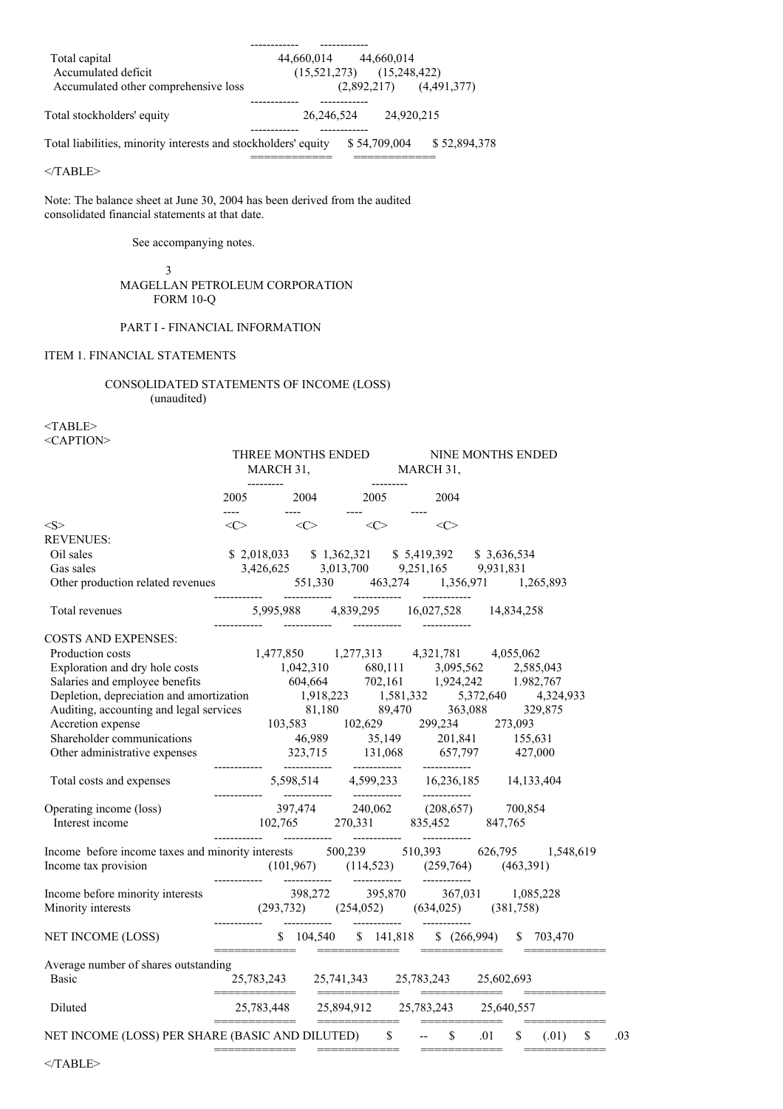| Total capital                                                  | 44,660,014                    | 44,660,014   |                             |
|----------------------------------------------------------------|-------------------------------|--------------|-----------------------------|
| Accumulated deficit                                            | $(15,521,273)$ $(15,248,422)$ |              |                             |
| Accumulated other comprehensive loss                           |                               |              | $(2,892,217)$ $(4,491,377)$ |
|                                                                |                               |              |                             |
| Total stockholders' equity                                     | 26.246.524                    | 24,920,215   |                             |
|                                                                |                               |              |                             |
| Total liabilities, minority interests and stockholders' equity |                               | \$54,709,004 | \$52,894,378                |
|                                                                |                               |              |                             |

 $<$ /TABLE>

Note: The balance sheet at June 30, 2004 has been derived from the audited consolidated financial statements at that date.

See accompanying notes.

3 MAGELLAN PETROLEUM CORPORATION FORM 10-Q

# PART I - FINANCIAL INFORMATION

## ITEM 1. FINANCIAL STATEMENTS

## CONSOLIDATED STATEMENTS OF INCOME (LOSS) (unaudited)

 $<$ TABLE> <CAPTION>

| $\sim$ $\sim$                                                                                                                                                                                                                                      |                                            |                                                                                            | THREE MONTHS ENDED NINE MONTHS ENDED<br>MARCH 31,<br>2005 2004 2005 2004 |                    |                                                                                                                                                                 |
|----------------------------------------------------------------------------------------------------------------------------------------------------------------------------------------------------------------------------------------------------|--------------------------------------------|--------------------------------------------------------------------------------------------|--------------------------------------------------------------------------|--------------------|-----------------------------------------------------------------------------------------------------------------------------------------------------------------|
|                                                                                                                                                                                                                                                    |                                            |                                                                                            | $\frac{1}{2}$ and $\frac{1}{2}$ and $\frac{1}{2}$ and $\frac{1}{2}$      |                    |                                                                                                                                                                 |
| $<\!\!S\!\!>$                                                                                                                                                                                                                                      | <b>Here is a strategic</b><br>$\langle$ C> | $\langle C \rangle$                                                                        | $<\infty$                                                                | $---$<br>$<\infty$ |                                                                                                                                                                 |
| <b>REVENUES:</b>                                                                                                                                                                                                                                   |                                            |                                                                                            |                                                                          |                    |                                                                                                                                                                 |
| Oil sales                                                                                                                                                                                                                                          |                                            | \$2,018,033 \$1,362,321 \$5,419,392 \$3,636,534<br>3,426,625 3,013,700 9,251,165 9,931,831 |                                                                          |                    |                                                                                                                                                                 |
| Gas sales<br>Other production related revenues                                                                                                                                                                                                     |                                            |                                                                                            |                                                                          |                    |                                                                                                                                                                 |
|                                                                                                                                                                                                                                                    | ------------                               |                                                                                            |                                                                          |                    |                                                                                                                                                                 |
| Total revenues                                                                                                                                                                                                                                     |                                            | 5,995,988 4,839,295 16,027,528 14,834,258                                                  |                                                                          |                    |                                                                                                                                                                 |
| COSTS AND EXPENSES:                                                                                                                                                                                                                                |                                            |                                                                                            |                                                                          |                    |                                                                                                                                                                 |
|                                                                                                                                                                                                                                                    |                                            |                                                                                            |                                                                          |                    |                                                                                                                                                                 |
|                                                                                                                                                                                                                                                    |                                            |                                                                                            |                                                                          |                    |                                                                                                                                                                 |
|                                                                                                                                                                                                                                                    |                                            |                                                                                            |                                                                          |                    |                                                                                                                                                                 |
|                                                                                                                                                                                                                                                    |                                            |                                                                                            |                                                                          |                    |                                                                                                                                                                 |
|                                                                                                                                                                                                                                                    |                                            |                                                                                            |                                                                          |                    |                                                                                                                                                                 |
|                                                                                                                                                                                                                                                    |                                            |                                                                                            |                                                                          |                    |                                                                                                                                                                 |
|                                                                                                                                                                                                                                                    |                                            |                                                                                            |                                                                          |                    |                                                                                                                                                                 |
| COSTS AND EXPENSES:<br>Production costs<br>Exploration and dry hole costs<br>Exploration and dry hole costs<br>Salaries and employee benefits<br>604,664<br>702,161<br>1,924,242<br>1.924,242<br>1.982,767<br>Depletion, depreciation and amortiza |                                            |                                                                                            |                                                                          |                    |                                                                                                                                                                 |
|                                                                                                                                                                                                                                                    |                                            |                                                                                            |                                                                          |                    |                                                                                                                                                                 |
| Total costs and expenses                                                                                                                                                                                                                           |                                            |                                                                                            |                                                                          |                    | 5,598,514 4,599,233 16,236,185 14,133,404                                                                                                                       |
|                                                                                                                                                                                                                                                    |                                            | 397,474 240,062 (208,657) 700,854                                                          |                                                                          |                    |                                                                                                                                                                 |
| Operating income (loss)<br>197,474 240,062 (208,657) 700,<br>102,765 270,331 835,452 847,765                                                                                                                                                       |                                            |                                                                                            |                                                                          |                    |                                                                                                                                                                 |
|                                                                                                                                                                                                                                                    |                                            |                                                                                            |                                                                          |                    |                                                                                                                                                                 |
| Income before income taxes and minority interests 500,239 510,393 626,795 1,548,619<br>Income tax provision                                                                                                                                        |                                            |                                                                                            |                                                                          |                    |                                                                                                                                                                 |
|                                                                                                                                                                                                                                                    |                                            |                                                                                            |                                                                          |                    |                                                                                                                                                                 |
| Income before minority interests<br>Minority interests<br>(293,732) (254,052) (634,025) (381,758)<br>(381,758)<br>(381,758)                                                                                                                        |                                            |                                                                                            |                                                                          |                    |                                                                                                                                                                 |
| NET INCOME (LOSS)<br>Solomontary 2003,470<br>Solomontary 2003,470<br>Solomontary 2003,470<br>Solomontary 2003,470<br>Solomontary 2003,470<br>Solomontary 2003,470<br>Solomontary 2003,470<br>Solomontary 2003,470<br>Solomontary 2003,470<br>Solo  |                                            |                                                                                            |                                                                          |                    |                                                                                                                                                                 |
| Average number of shares outstanding<br>Basic                                                                                                                                                                                                      |                                            | 25,783,243 25,741,343 25,783,243 25,602,693                                                |                                                                          |                    |                                                                                                                                                                 |
| Diluted                                                                                                                                                                                                                                            |                                            |                                                                                            |                                                                          |                    |                                                                                                                                                                 |
| NET INCOME (LOSS) PER SHARE (BASIC AND DILUTED) \$-5 -01                                                                                                                                                                                           |                                            |                                                                                            |                                                                          |                    | $\frac{25,783,448}{25,894,912}$ $\frac{25,894,912}{25,783,243}$ $\frac{25,640,557}{25,894,912}$ $\frac{25,640,557}{25,783,243}$ $\frac{25,640,557}{25,640,557}$ |
|                                                                                                                                                                                                                                                    |                                            |                                                                                            |                                                                          |                    | ============                                                                                                                                                    |

 $<$ /TABLE>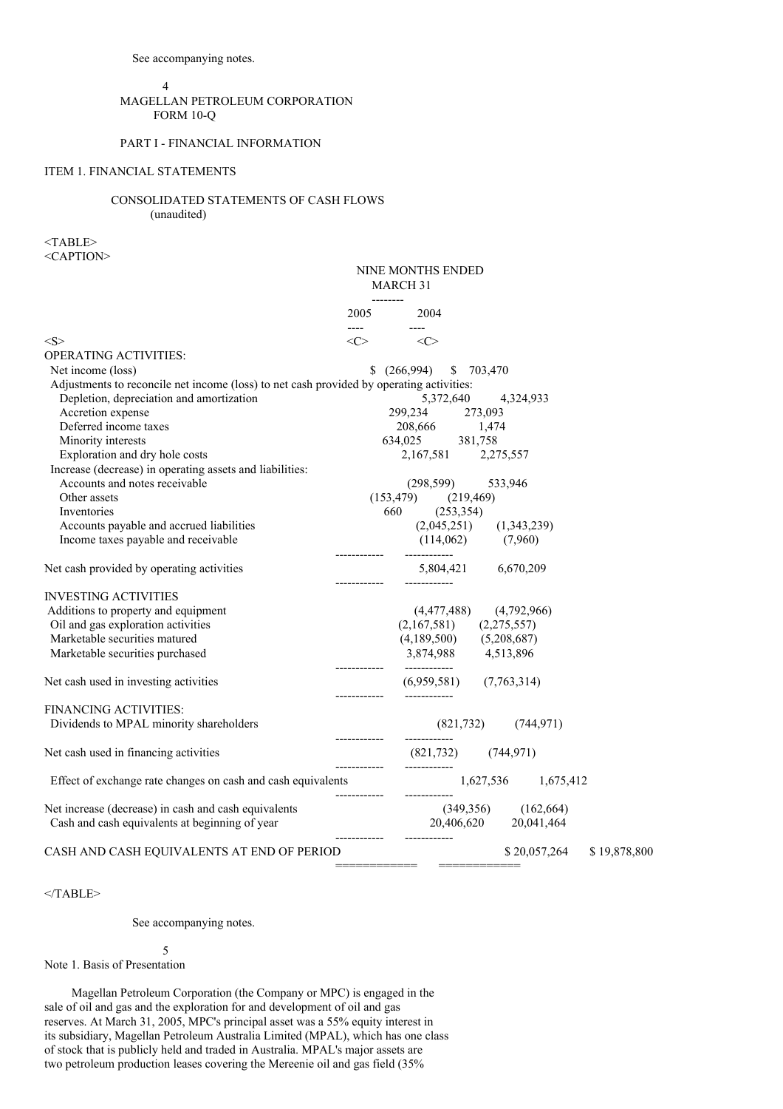4 MAGELLAN PETROLEUM CORPORATION FORM 10-Q

# PART I - FINANCIAL INFORMATION

## ITEM 1. FINANCIAL STATEMENTS

## CONSOLIDATED STATEMENTS OF CASH FLOWS (unaudited)

<TABLE>

<CAPTION>

|                                                                                          | NINE MONTHS ENDED                                                    |
|------------------------------------------------------------------------------------------|----------------------------------------------------------------------|
|                                                                                          | <b>MARCH 31</b>                                                      |
|                                                                                          | --------                                                             |
|                                                                                          | 2005<br>2004<br>$---$                                                |
| $<\!\!S\!\!>$                                                                            | $<\!\!C\!\!>$<br>$\langle C \rangle$                                 |
| <b>OPERATING ACTIVITIES:</b>                                                             |                                                                      |
| Net income (loss)                                                                        | (266,994)<br>\$703,470                                               |
| Adjustments to reconcile net income (loss) to net cash provided by operating activities: |                                                                      |
| Depletion, depreciation and amortization                                                 | 5,372,640 4,324,933                                                  |
| Accretion expense                                                                        | 299,234 273,093                                                      |
| Deferred income taxes                                                                    | $\begin{array}{cc} 208,666 & 1,474 \\ 634,025 & 381,758 \end{array}$ |
| Minority interests                                                                       |                                                                      |
| Exploration and dry hole costs                                                           | 2,167,581 2,275,557                                                  |
| Increase (decrease) in operating assets and liabilities:                                 |                                                                      |
| Accounts and notes receivable                                                            | $(298,599)$ 533,946                                                  |
| Other assets                                                                             | $(153, 479)$ $(219, 469)$                                            |
| Inventories                                                                              | (253, 354)<br>660                                                    |
| Accounts payable and accrued liabilities                                                 | $(2,045,251)$ $(1,343,239)$                                          |
| Income taxes payable and receivable                                                      | $(114,062)$ $(7,960)$                                                |
| Net cash provided by operating activities                                                | -------------<br>5,804,421 6,670,209                                 |
|                                                                                          | -------------                                                        |
| <b>INVESTING ACTIVITIES</b>                                                              |                                                                      |
| Additions to property and equipment                                                      | $(4,477,488)$ $(4,792,966)$                                          |
| Oil and gas exploration activities                                                       | $(2,167,581)$ $(2,275,557)$                                          |
| Marketable securities matured                                                            | $(4,189,500)$ $(5,208,687)$                                          |
| Marketable securities purchased                                                          | 3,874,988 4,513,896                                                  |
| Net cash used in investing activities                                                    | -------------<br>$(6,959,581)$ $(7,763,314)$                         |
|                                                                                          | -------------                                                        |
| FINANCING ACTIVITIES:                                                                    |                                                                      |
| Dividends to MPAL minority shareholders                                                  | $(821,732)$ $(744,971)$                                              |
| Net cash used in financing activities                                                    | $(821,732)$ $(744,971)$                                              |
|                                                                                          |                                                                      |
| Effect of exchange rate changes on cash and cash equivalents                             | 1,627,536<br>1,675,412<br>-------------                              |
| Net increase (decrease) in cash and cash equivalents                                     | $(349,356)$ $(162,664)$                                              |
| Cash and cash equivalents at beginning of year                                           | 20,406,620 20,041,464                                                |
| CASH AND CASH EQUIVALENTS AT END OF PERIOD                                               | -------------<br>------------<br>\$20,057,264 \$19,878,800           |
|                                                                                          | ==========================                                           |

 $<$ /TABLE>

See accompanying notes.

5

Note 1. Basis of Presentation

Magellan Petroleum Corporation (the Company or MPC) is engaged in the sale of oil and gas and the exploration for and development of oil and gas reserves. At March 31, 2005, MPC's principal asset was a 55% equity interest in its subsidiary, Magellan Petroleum Australia Limited (MPAL), which has one class of stock that is publicly held and traded in Australia. MPAL's major assets are two petroleum production leases covering the Mereenie oil and gas field (35%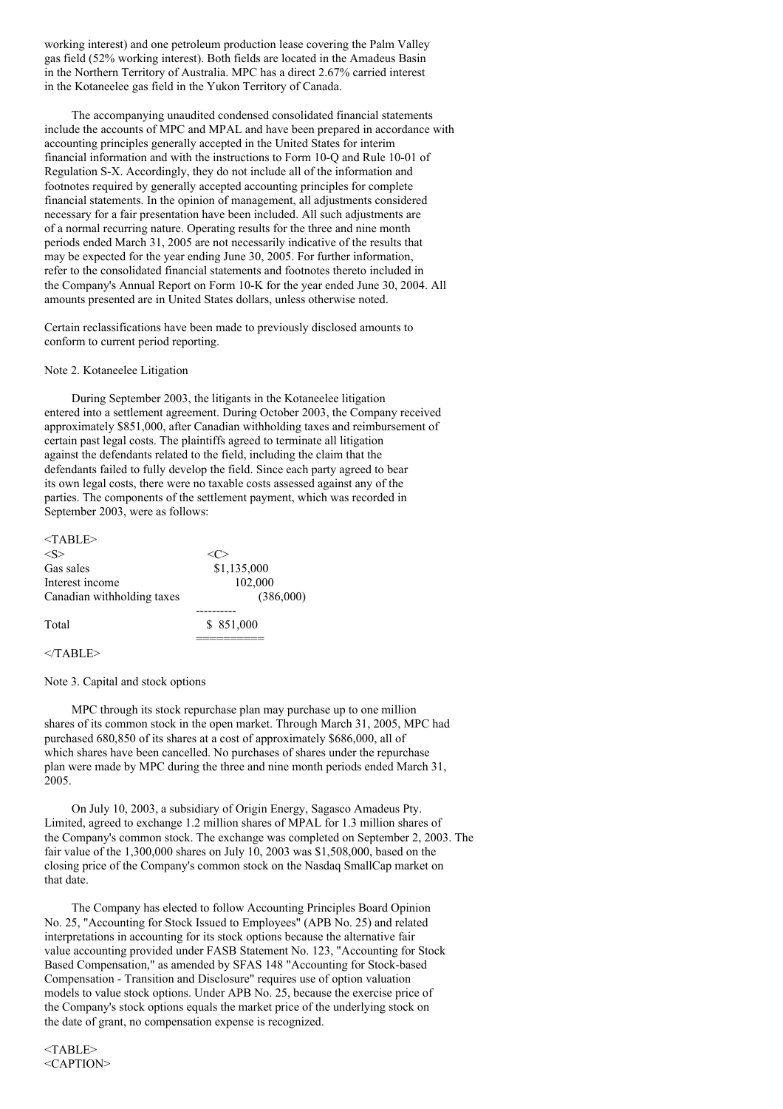working interest) and one petroleum production lease covering the Palm Valley gas field (52% working interest). Both fields are located in the Amadeus Basin in the Northern Territory of Australia. MPC has a direct 2.67% carried interest in the Kotaneelee gas field in the Yukon Territory of Canada.

The accompanying unaudited condensed consolidated financial statements include the accounts of MPC and MPAL and have been prepared in accordance with accounting principles generally accepted in the United States for interim financial information and with the instructions to Form 10-Q and Rule 10-01 of Regulation S-X. Accordingly, they do not include all of the information and footnotes required by generally accepted accounting principles for complete financial statements. In the opinion of management, all adjustments considered necessary for a fair presentation have been included. All such adjustments are of a normal recurring nature. Operating results for the three and nine month periods ended March 31, 2005 are not necessarily indicative of the results that may be expected for the year ending June 30, 2005. For further information, refer to the consolidated financial statements and footnotes thereto included in the Company's Annual Report on Form 10-K for the year ended June 30, 2004. All amounts presented are in United States dollars, unless otherwise noted.

Certain reclassifications have been made to previously disclosed amounts to conform to current period reporting.

### Note 2. Kotaneelee Litigation

During September 2003, the litigants in the Kotaneelee litigation entered into a settlement agreement. During October 2003, the Company received approximately \$851,000, after Canadian withholding taxes and reimbursement of certain past legal costs. The plaintiffs agreed to terminate all litigation against the defendants related to the field, including the claim that the defendants failed to fully develop the field. Since each party agreed to bear its own legal costs, there were no taxable costs assessed against any of the parties. The components of the settlement payment, which was recorded in September 2003, were as follows:

| $<$ TABLE>                 |             |
|----------------------------|-------------|
| $<\!\!S\!\!>$              |             |
| Gas sales                  | \$1,135,000 |
| Interest income            | 102,000     |
| Canadian withholding taxes | (386,000)   |
|                            |             |
| Total                      | \$ 851,000  |
|                            |             |

 $<$ /TABLE>

Note 3. Capital and stock options

MPC through its stock repurchase plan may purchase up to one million shares of its common stock in the open market. Through March 31, 2005, MPC had purchased 680,850 of its shares at a cost of approximately \$686,000, all of which shares have been cancelled. No purchases of shares under the repurchase plan were made by MPC during the three and nine month periods ended March 31, 2005.

On July 10, 2003, a subsidiary of Origin Energy, Sagasco Amadeus Pty. Limited, agreed to exchange 1.2 million shares of MPAL for 1.3 million shares of the Company's common stock. The exchange was completed on September 2, 2003. The fair value of the 1,300,000 shares on July 10, 2003 was \$1,508,000, based on the closing price of the Company's common stock on the Nasdaq SmallCap market on that date.

The Company has elected to follow Accounting Principles Board Opinion No. 25, "Accounting for Stock Issued to Employees" (APB No. 25) and related interpretations in accounting for its stock options because the alternative fair value accounting provided under FASB Statement No. 123, "Accounting for Stock Based Compensation," as amended by SFAS 148 "Accounting for Stock-based Compensation - Transition and Disclosure" requires use of option valuation models to value stock options. Under APB No. 25, because the exercise price of the Company's stock options equals the market price of the underlying stock on the date of grant, no compensation expense is recognized.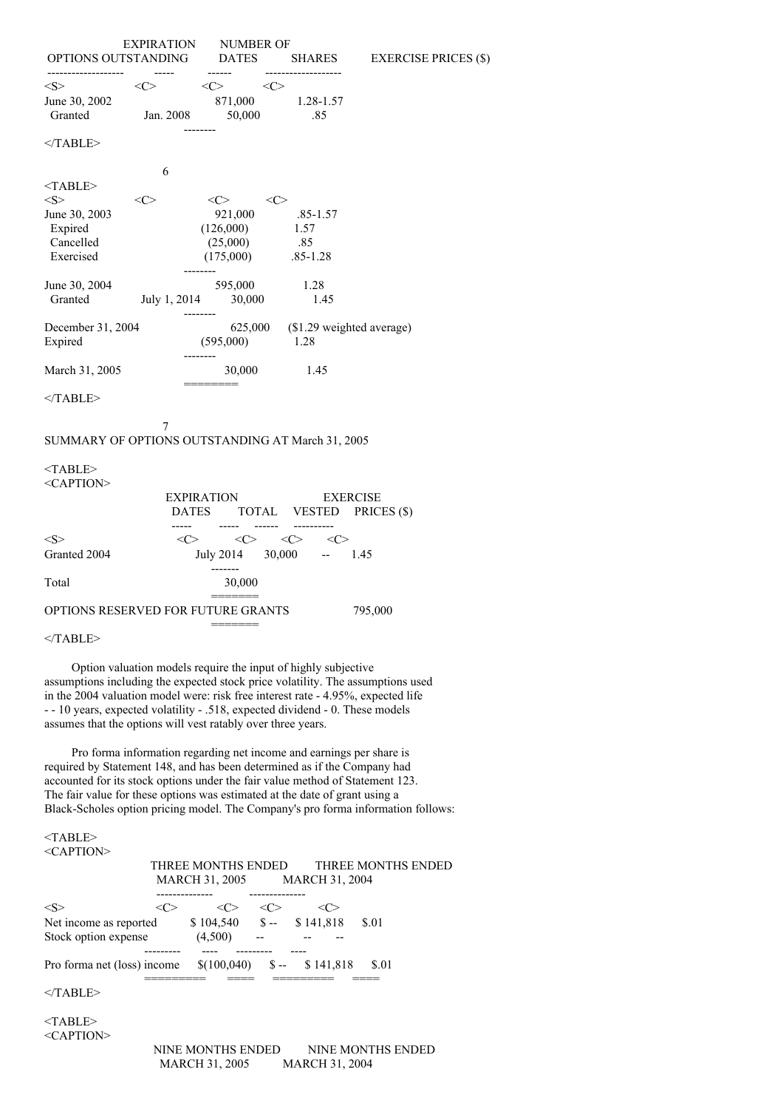| OPTIONS OUTSTANDING                              | EXPIRATION    | NUMBER OF<br><b>DATES</b>                                                                                     | <b>SHARES</b>                            | <b>EXERCISE PRICES (\$)</b> |
|--------------------------------------------------|---------------|---------------------------------------------------------------------------------------------------------------|------------------------------------------|-----------------------------|
| -------------------<br>$<\ge$                    |               | $\langle C \rangle$ $\langle C \rangle$ $\langle C \rangle$                                                   | -------------------<br>871,000 1.28-1.57 |                             |
| June 30, 2002<br>Granted Jan                     | Jan. 2008     | 50,000<br>--------                                                                                            | .85                                      |                             |
| $<$ TABLE>                                       |               |                                                                                                               |                                          |                             |
|                                                  | 6             |                                                                                                               |                                          |                             |
| $<$ TABLE><br>$<\!\!S\!\!>$                      | $<\!\!C\!\!>$ | $\langle$ C $\rangle$<br><<>                                                                                  |                                          |                             |
| June 30, 2003                                    |               | 921,000                                                                                                       | .85-1.57                                 |                             |
| Expired                                          |               | (126,000)                                                                                                     | 1.57                                     |                             |
| Cancelled                                        |               | (25,000)                                                                                                      | .85                                      |                             |
| Exercised                                        |               | $(175,000)$ .85-1.28                                                                                          |                                          |                             |
|                                                  |               |                                                                                                               |                                          |                             |
| June 30, 2004                                    |               | 595,000                                                                                                       | 1.28                                     |                             |
| Granted                                          |               | July 1, 2014 30,000                                                                                           | 1.45                                     |                             |
| December 31, 2004<br>Expired                     |               | --------<br>$(595,000)$ 1.28<br>--------                                                                      | 625,000 (\$1.29 weighted average)        |                             |
| March 31, 2005                                   |               | 30,000<br>=======                                                                                             | -1.45                                    |                             |
| $<$ /TABLE>                                      |               |                                                                                                               |                                          |                             |
| SUMMARY OF OPTIONS OUTSTANDING AT March 31, 2005 | 7             |                                                                                                               |                                          |                             |
| $<$ TABLE><br><caption></caption>                |               |                                                                                                               |                                          |                             |
|                                                  |               | EXPIRATION<br>DATES TOTAL VESTED PRICES (\$)<br>----- ------                                                  | <b>EXERCISE</b>                          |                             |
| $<\leq>$<br>Granted 2004                         |               | $\langle C \rangle$ $\langle C \rangle$ $\langle C \rangle$ $\langle C \rangle$<br>July 2014 $30,000$ -- 1.45 |                                          |                             |
| Total                                            |               | 30,000                                                                                                        |                                          |                             |
| OPTIONS RESERVED FOR FUTURE GRANTS               |               | -------                                                                                                       |                                          | 795,000                     |
| $<$ TABLE>                                       |               |                                                                                                               |                                          |                             |

Option valuation models require the input of highly subjective assumptions including the expected stock price volatility. The assumptions used in the 2004 valuation model were: risk free interest rate - 4.95%, expected life - - 10 years, expected volatility - .518, expected dividend - 0. These models assumes that the options will vest ratably over three years.

Pro forma information regarding net income and earnings per share is required by Statement 148, and has been determined as if the Company had accounted for its stock options under the fair value method of Statement 123. The fair value for these options was estimated at the date of grant using a Black-Scholes option pricing model. The Company's pro forma information follows:

<TABLE> <CAPTION>

| NALINE                                        |                    |     |                               |                          |
|-----------------------------------------------|--------------------|-----|-------------------------------|--------------------------|
|                                               | THREE MONTHS ENDED |     |                               | THREE MONTHS ENDED       |
|                                               | MARCH 31, 2005     |     | <b>MARCH 31, 2004</b>         |                          |
|                                               |                    |     |                               |                          |
| < S ><br><c></c>                              | <c></c>            | <<> | <c></c>                       |                          |
| Net income as reported                        |                    |     | $$104,540 \qquad $--$141,818$ | \$.01                    |
| Stock option expense                          | (4,500)            |     |                               |                          |
| Pro forma net (loss) income $\{(100,040)$ \$- |                    |     | \$141,818                     | \$.01                    |
| $<$ TABLE>                                    |                    |     |                               |                          |
| $<$ TABLE>                                    |                    |     |                               |                          |
| $\leq$ CAPTION $>$                            |                    |     |                               |                          |
|                                               | NINE MONTHS ENDED  |     |                               | <b>NINE MONTHS ENDED</b> |

MARCH 31, 2005 MARCH 31, 2004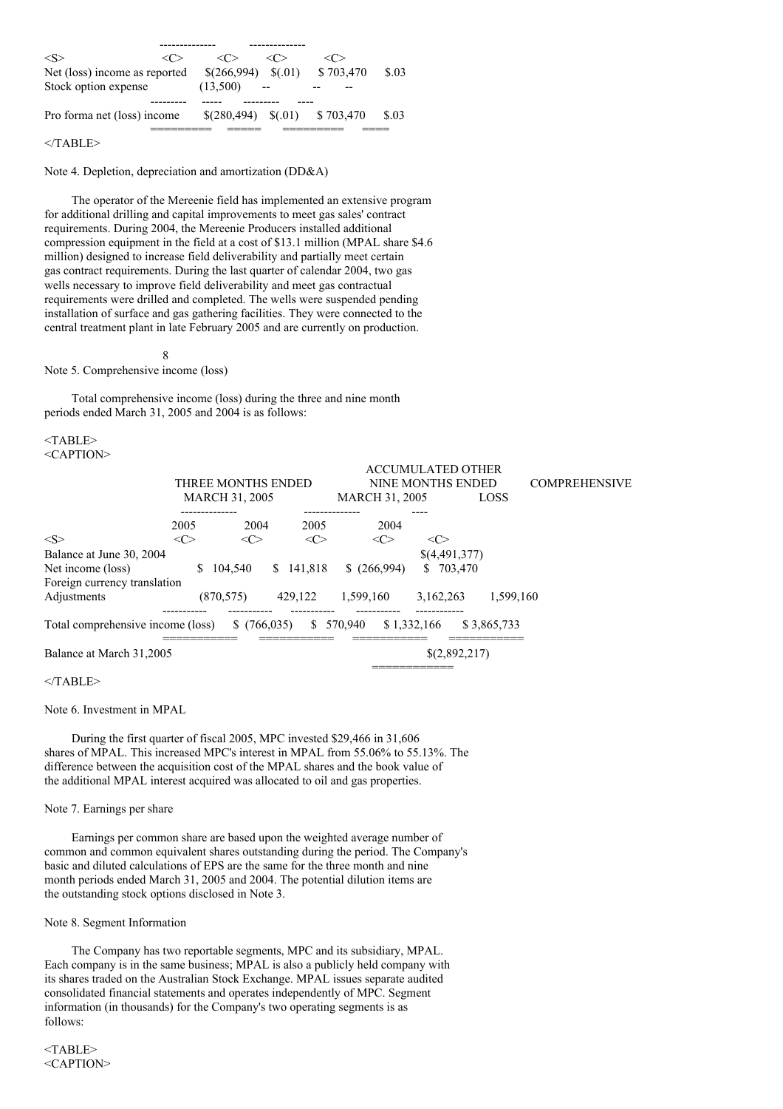| $<\!\!S\!\!>$                 |             |        | $\langle$ |       |
|-------------------------------|-------------|--------|-----------|-------|
| Net (loss) income as reported | \$(266,994) | S(.01) | \$703,470 | \$.03 |
| Stock option expense          | (13,500)    |        |           |       |
|                               |             |        |           |       |
| Pro forma net (loss) income   | \$(280,494) | S(.01) | \$703.470 | \$.03 |
|                               |             |        |           |       |

## $<$ /TABLE>

Note 4. Depletion, depreciation and amortization (DD&A)

The operator of the Mereenie field has implemented an extensive program for additional drilling and capital improvements to meet gas sales' contract requirements. During 2004, the Mereenie Producers installed additional compression equipment in the field at a cost of \$13.1 million (MPAL share \$4.6 million) designed to increase field deliverability and partially meet certain gas contract requirements. During the last quarter of calendar 2004, two gas wells necessary to improve field deliverability and meet gas contractual requirements were drilled and completed. The wells were suspended pending installation of surface and gas gathering facilities. They were connected to the central treatment plant in late February 2005 and are currently on production.

#### 8 Note 5. Comprehensive income (loss)

Total comprehensive income (loss) during the three and nine month periods ended March 31, 2005 and 2004 is as follows:

<TABLE> <CAPTION>

|                                   | THREE MONTHS ENDED<br><b>MARCH 31, 2005</b><br>-------------- |                     |                 | ACCUMULATED OTHER<br>NINE MONTHS ENDED<br><b>MARCH 31, 2005</b><br><b>LOSS</b> |               |             | <b>COMPREHENSIVE</b> |
|-----------------------------------|---------------------------------------------------------------|---------------------|-----------------|--------------------------------------------------------------------------------|---------------|-------------|----------------------|
|                                   | 2005                                                          | 2004                | 2005            | 2004                                                                           |               |             |                      |
| < S >                             | <c></c>                                                       | $\langle C \rangle$ | $\langle$ C $>$ | <<>                                                                            | <c></c>       |             |                      |
| Balance at June 30, 2004          |                                                               |                     |                 |                                                                                | \$(4,491,377) |             |                      |
| Net income (loss)                 |                                                               | 104.540             | 141.818<br>S.   | $$$ (266,994)                                                                  | 703,470<br>S. |             |                      |
| Foreign currency translation      |                                                               |                     |                 |                                                                                |               |             |                      |
| Adjustments                       |                                                               | (870, 575)          | 429.122         | 1,599,160                                                                      | 3,162,263     | 1.599.160   |                      |
| Total comprehensive income (loss) |                                                               | \$(766,035)         | S.              | 570,940                                                                        | \$1,332,166   | \$3,865,733 |                      |
| Balance at March 31,2005          |                                                               |                     |                 | ________                                                                       | \$(2,892,217) |             |                      |
|                                   |                                                               |                     |                 |                                                                                |               |             |                      |

## $<$ /TABLE>

Note 6. Investment in MPAL

During the first quarter of fiscal 2005, MPC invested \$29,466 in 31,606 shares of MPAL. This increased MPC's interest in MPAL from 55.06% to 55.13%. The difference between the acquisition cost of the MPAL shares and the book value of the additional MPAL interest acquired was allocated to oil and gas properties.

#### Note 7. Earnings per share

Earnings per common share are based upon the weighted average number of common and common equivalent shares outstanding during the period. The Company's basic and diluted calculations of EPS are the same for the three month and nine month periods ended March 31, 2005 and 2004. The potential dilution items are the outstanding stock options disclosed in Note 3.

### Note 8. Segment Information

The Company has two reportable segments, MPC and its subsidiary, MPAL. Each company is in the same business; MPAL is also a publicly held company with its shares traded on the Australian Stock Exchange. MPAL issues separate audited consolidated financial statements and operates independently of MPC. Segment information (in thousands) for the Company's two operating segments is as follows: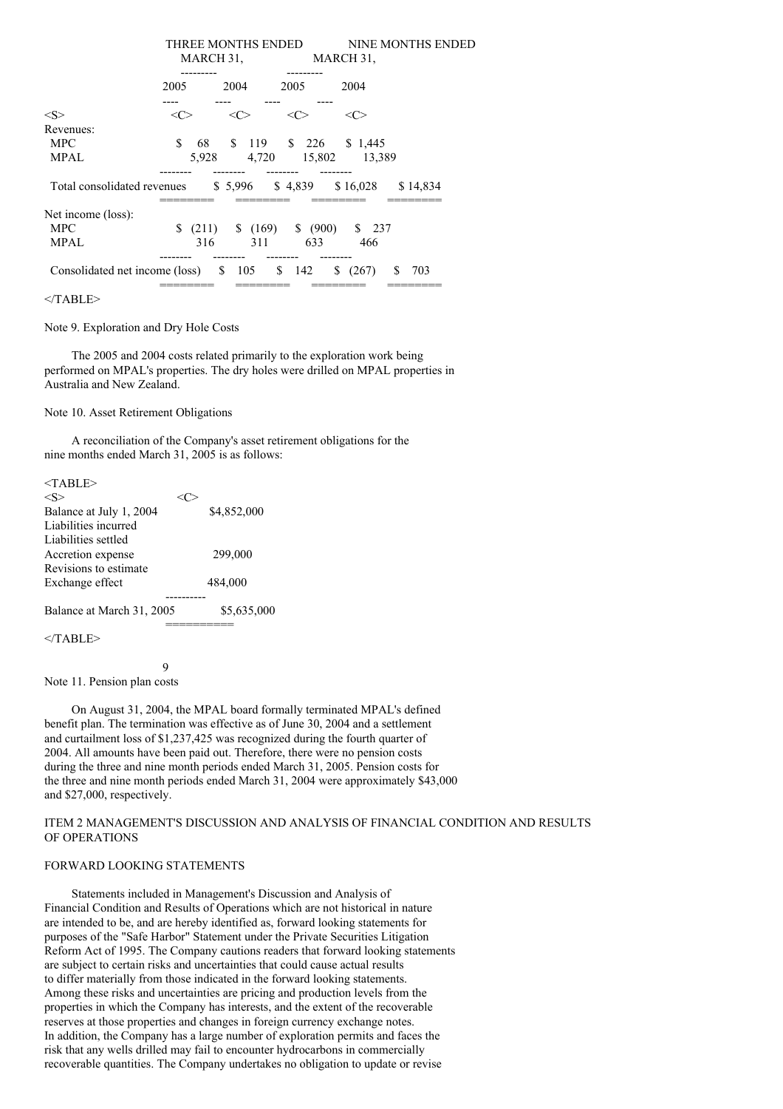|                                       | THREE MONTHS ENDED |                   |                  |                  | NINE MONTHS ENDED |
|---------------------------------------|--------------------|-------------------|------------------|------------------|-------------------|
|                                       |                    | MARCH 31,         |                  | MARCH 31,        |                   |
|                                       | -------            |                   |                  |                  |                   |
|                                       | 2005               | 2004              | 2005             | 2004             |                   |
|                                       |                    |                   |                  |                  |                   |
| < S >                                 | <c></c>            | <<>               | <<>              | <c></c>          |                   |
| Revenues:                             |                    |                   |                  |                  |                   |
| <b>MPC</b>                            | \$<br>68           | \$119             | $\frac{\$}{226}$ | \$1.445          |                   |
| MPAL                                  | 5,928              |                   | 4,720 15,802     | 13,389           |                   |
|                                       |                    |                   |                  |                  |                   |
| Total consolidated revenues           |                    | $$5,996$ $$4,839$ |                  | \$16,028         | \$14,834          |
|                                       |                    |                   |                  |                  |                   |
| Net income (loss):                    |                    |                   |                  |                  |                   |
| <b>MPC</b>                            | \$<br>(211)        | (169)             | (900)            | $\frac{\$}{237}$ |                   |
| <b>MPAL</b>                           | 316                | 311               | 633              | 466              |                   |
|                                       |                    |                   |                  |                  |                   |
| Consolidated net income (loss) \$ 105 |                    |                   | $\frac{142}{ }$  | (267)            | 703<br>S          |
|                                       |                    |                   |                  |                  |                   |
| $<$ TABLE>                            |                    |                   |                  |                  |                   |

Note 9. Exploration and Dry Hole Costs

The 2005 and 2004 costs related primarily to the exploration work being performed on MPAL's properties. The dry holes were drilled on MPAL properties in Australia and New Zealand.

Note 10. Asset Retirement Obligations

A reconciliation of the Company's asset retirement obligations for the nine months ended March 31, 2005 is as follows:

| $<$ TABLE>                |             |
|---------------------------|-------------|
| < S >                     |             |
| Balance at July 1, 2004   | \$4,852,000 |
| Liabilities incurred      |             |
| Liabilities settled       |             |
| Accretion expense         | 299,000     |
| Revisions to estimate     |             |
| Exchange effect           | 484,000     |
|                           |             |
| Balance at March 31, 2005 | \$5,635,000 |
|                           |             |

 $\mathbf Q$ 

 $<$ /TABLE>

Note 11. Pension plan costs

On August 31, 2004, the MPAL board formally terminated MPAL's defined benefit plan. The termination was effective as of June 30, 2004 and a settlement and curtailment loss of \$1,237,425 was recognized during the fourth quarter of 2004. All amounts have been paid out. Therefore, there were no pension costs during the three and nine month periods ended March 31, 2005. Pension costs for the three and nine month periods ended March 31, 2004 were approximately \$43,000 and \$27,000, respectively.

## ITEM 2 MANAGEMENT'S DISCUSSION AND ANALYSIS OF FINANCIAL CONDITION AND RESULTS OF OPERATIONS

## FORWARD LOOKING STATEMENTS

Statements included in Management's Discussion and Analysis of Financial Condition and Results of Operations which are not historical in nature are intended to be, and are hereby identified as, forward looking statements for purposes of the "Safe Harbor" Statement under the Private Securities Litigation Reform Act of 1995. The Company cautions readers that forward looking statements are subject to certain risks and uncertainties that could cause actual results to differ materially from those indicated in the forward looking statements. Among these risks and uncertainties are pricing and production levels from the properties in which the Company has interests, and the extent of the recoverable reserves at those properties and changes in foreign currency exchange notes. In addition, the Company has a large number of exploration permits and faces the risk that any wells drilled may fail to encounter hydrocarbons in commercially recoverable quantities. The Company undertakes no obligation to update or revise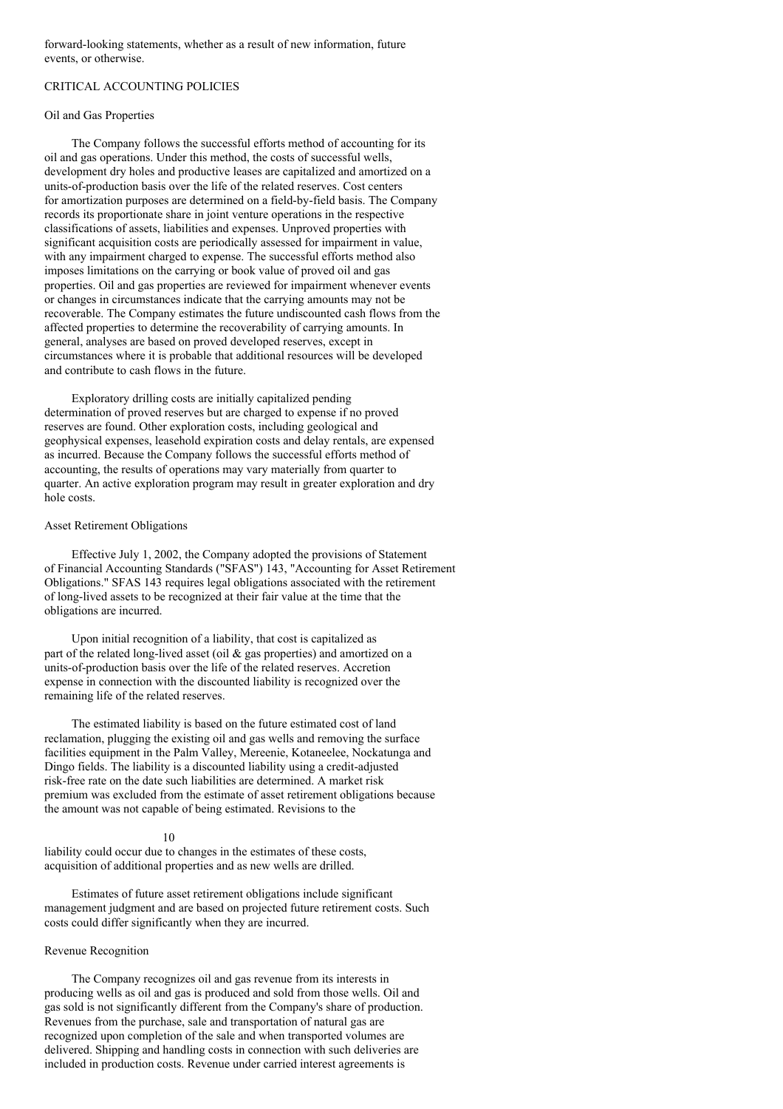forward-looking statements, whether as a result of new information, future events, or otherwise.

## CRITICAL ACCOUNTING POLICIES

### Oil and Gas Properties

The Company follows the successful efforts method of accounting for its oil and gas operations. Under this method, the costs of successful wells, development dry holes and productive leases are capitalized and amortized on a units-of-production basis over the life of the related reserves. Cost centers for amortization purposes are determined on a field-by-field basis. The Company records its proportionate share in joint venture operations in the respective classifications of assets, liabilities and expenses. Unproved properties with significant acquisition costs are periodically assessed for impairment in value, with any impairment charged to expense. The successful efforts method also imposes limitations on the carrying or book value of proved oil and gas properties. Oil and gas properties are reviewed for impairment whenever events or changes in circumstances indicate that the carrying amounts may not be recoverable. The Company estimates the future undiscounted cash flows from the affected properties to determine the recoverability of carrying amounts. In general, analyses are based on proved developed reserves, except in circumstances where it is probable that additional resources will be developed and contribute to cash flows in the future.

Exploratory drilling costs are initially capitalized pending determination of proved reserves but are charged to expense if no proved reserves are found. Other exploration costs, including geological and geophysical expenses, leasehold expiration costs and delay rentals, are expensed as incurred. Because the Company follows the successful efforts method of accounting, the results of operations may vary materially from quarter to quarter. An active exploration program may result in greater exploration and dry hole costs.

## Asset Retirement Obligations

Effective July 1, 2002, the Company adopted the provisions of Statement of Financial Accounting Standards ("SFAS") 143, "Accounting for Asset Retirement Obligations." SFAS 143 requires legal obligations associated with the retirement of long-lived assets to be recognized at their fair value at the time that the obligations are incurred.

Upon initial recognition of a liability, that cost is capitalized as part of the related long-lived asset (oil & gas properties) and amortized on a units-of-production basis over the life of the related reserves. Accretion expense in connection with the discounted liability is recognized over the remaining life of the related reserves.

The estimated liability is based on the future estimated cost of land reclamation, plugging the existing oil and gas wells and removing the surface facilities equipment in the Palm Valley, Mereenie, Kotaneelee, Nockatunga and Dingo fields. The liability is a discounted liability using a credit-adjusted risk-free rate on the date such liabilities are determined. A market risk premium was excluded from the estimate of asset retirement obligations because the amount was not capable of being estimated. Revisions to the

#### 10

liability could occur due to changes in the estimates of these costs, acquisition of additional properties and as new wells are drilled.

Estimates of future asset retirement obligations include significant management judgment and are based on projected future retirement costs. Such costs could differ significantly when they are incurred.

## Revenue Recognition

The Company recognizes oil and gas revenue from its interests in producing wells as oil and gas is produced and sold from those wells. Oil and gas sold is not significantly different from the Company's share of production. Revenues from the purchase, sale and transportation of natural gas are recognized upon completion of the sale and when transported volumes are delivered. Shipping and handling costs in connection with such deliveries are included in production costs. Revenue under carried interest agreements is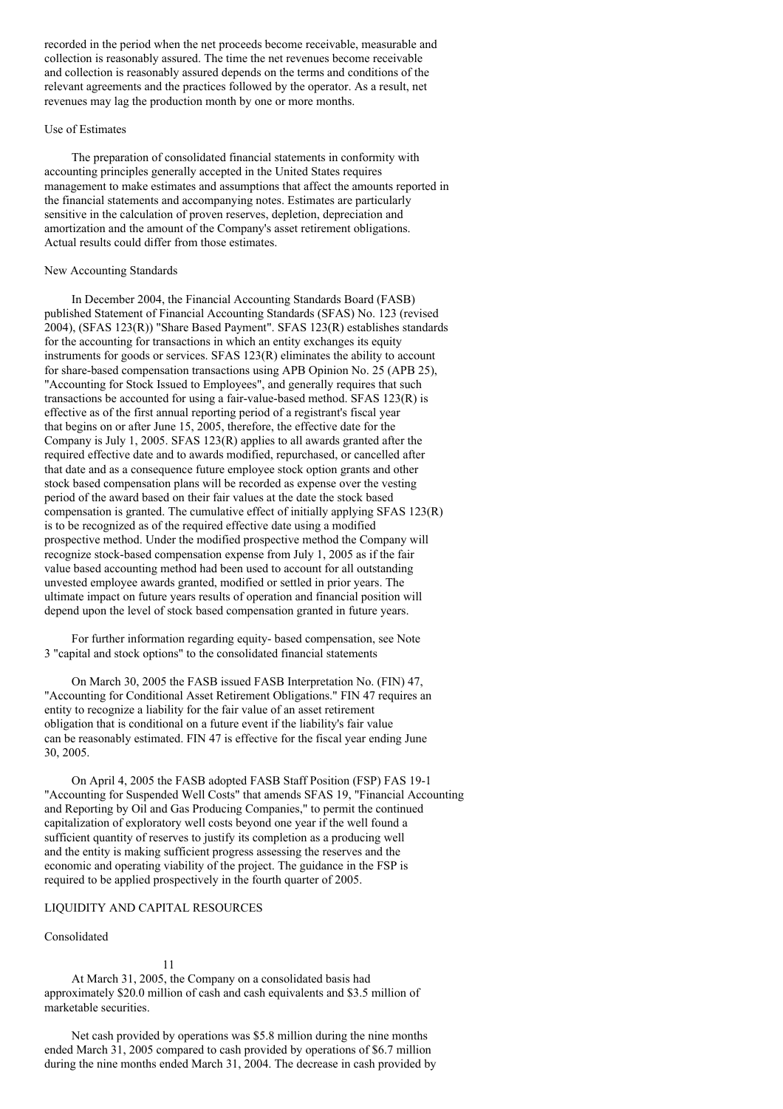recorded in the period when the net proceeds become receivable, measurable and collection is reasonably assured. The time the net revenues become receivable and collection is reasonably assured depends on the terms and conditions of the relevant agreements and the practices followed by the operator. As a result, net revenues may lag the production month by one or more months.

## Use of Estimates

The preparation of consolidated financial statements in conformity with accounting principles generally accepted in the United States requires management to make estimates and assumptions that affect the amounts reported in the financial statements and accompanying notes. Estimates are particularly sensitive in the calculation of proven reserves, depletion, depreciation and amortization and the amount of the Company's asset retirement obligations. Actual results could differ from those estimates.

## New Accounting Standards

In December 2004, the Financial Accounting Standards Board (FASB) published Statement of Financial Accounting Standards (SFAS) No. 123 (revised 2004), (SFAS 123(R)) "Share Based Payment". SFAS 123(R) establishes standards for the accounting for transactions in which an entity exchanges its equity instruments for goods or services. SFAS 123(R) eliminates the ability to account for share-based compensation transactions using APB Opinion No. 25 (APB 25), "Accounting for Stock Issued to Employees", and generally requires that such transactions be accounted for using a fair-value-based method. SFAS 123(R) is effective as of the first annual reporting period of a registrant's fiscal year that begins on or after June 15, 2005, therefore, the effective date for the Company is July 1, 2005. SFAS 123(R) applies to all awards granted after the required effective date and to awards modified, repurchased, or cancelled after that date and as a consequence future employee stock option grants and other stock based compensation plans will be recorded as expense over the vesting period of the award based on their fair values at the date the stock based compensation is granted. The cumulative effect of initially applying SFAS 123(R) is to be recognized as of the required effective date using a modified prospective method. Under the modified prospective method the Company will recognize stock-based compensation expense from July 1, 2005 as if the fair value based accounting method had been used to account for all outstanding unvested employee awards granted, modified or settled in prior years. The ultimate impact on future years results of operation and financial position will depend upon the level of stock based compensation granted in future years.

For further information regarding equity- based compensation, see Note 3 "capital and stock options" to the consolidated financial statements

On March 30, 2005 the FASB issued FASB Interpretation No. (FIN) 47, "Accounting for Conditional Asset Retirement Obligations." FIN 47 requires an entity to recognize a liability for the fair value of an asset retirement obligation that is conditional on a future event if the liability's fair value can be reasonably estimated. FIN 47 is effective for the fiscal year ending June 30, 2005.

On April 4, 2005 the FASB adopted FASB Staff Position (FSP) FAS 19-1 "Accounting for Suspended Well Costs" that amends SFAS 19, "Financial Accounting and Reporting by Oil and Gas Producing Companies," to permit the continued capitalization of exploratory well costs beyond one year if the well found a sufficient quantity of reserves to justify its completion as a producing well and the entity is making sufficient progress assessing the reserves and the economic and operating viability of the project. The guidance in the FSP is required to be applied prospectively in the fourth quarter of 2005.

## LIQUIDITY AND CAPITAL RESOURCES

### Consolidated

11

At March 31, 2005, the Company on a consolidated basis had approximately \$20.0 million of cash and cash equivalents and \$3.5 million of marketable securities.

Net cash provided by operations was \$5.8 million during the nine months ended March 31, 2005 compared to cash provided by operations of \$6.7 million during the nine months ended March 31, 2004. The decrease in cash provided by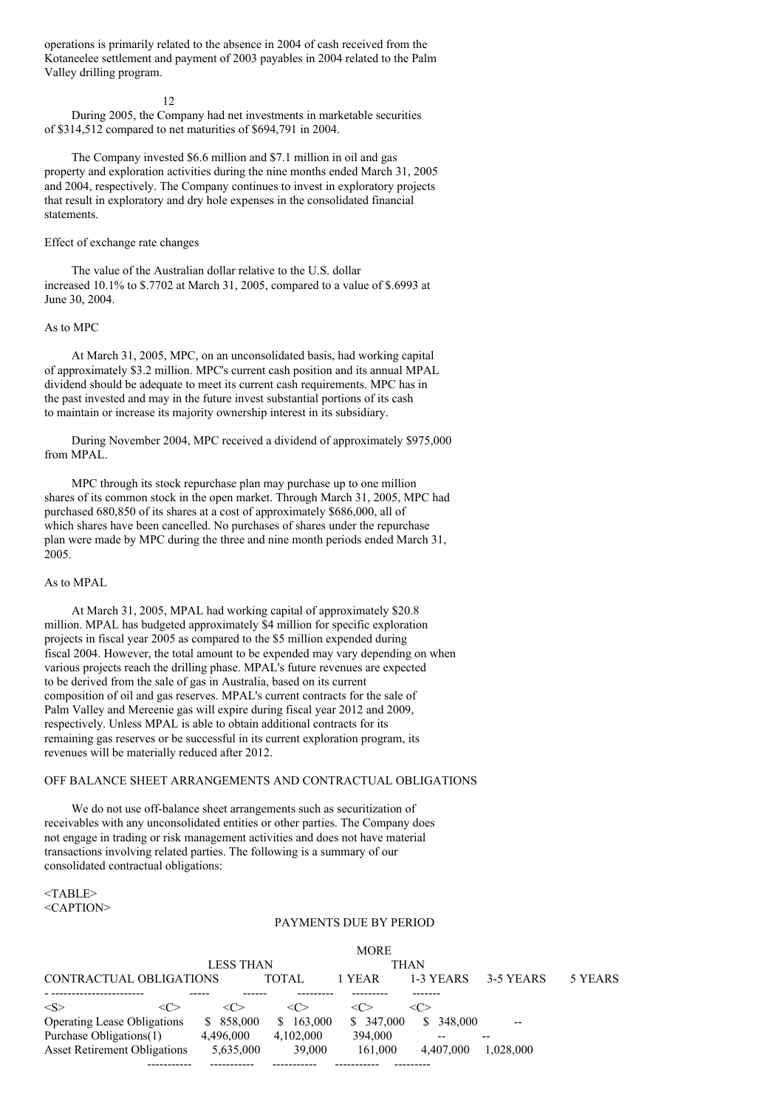operations is primarily related to the absence in 2004 of cash received from the Kotaneelee settlement and payment of 2003 payables in 2004 related to the Palm Valley drilling program.

## 12

During 2005, the Company had net investments in marketable securities of \$314,512 compared to net maturities of \$694,791 in 2004.

The Company invested \$6.6 million and \$7.1 million in oil and gas property and exploration activities during the nine months ended March 31, 2005 and 2004, respectively. The Company continues to invest in exploratory projects that result in exploratory and dry hole expenses in the consolidated financial statements.

## Effect of exchange rate changes

The value of the Australian dollar relative to the U.S. dollar increased 10.1% to \$.7702 at March 31, 2005, compared to a value of \$.6993 at June 30, 2004.

#### As to MPC

At March 31, 2005, MPC, on an unconsolidated basis, had working capital of approximately \$3.2 million. MPC's current cash position and its annual MPAL dividend should be adequate to meet its current cash requirements. MPC has in the past invested and may in the future invest substantial portions of its cash to maintain or increase its majority ownership interest in its subsidiary.

During November 2004, MPC received a dividend of approximately \$975,000 from MPAL.

MPC through its stock repurchase plan may purchase up to one million shares of its common stock in the open market. Through March 31, 2005, MPC had purchased 680,850 of its shares at a cost of approximately \$686,000, all of which shares have been cancelled. No purchases of shares under the repurchase plan were made by MPC during the three and nine month periods ended March 31, 2005.

## As to MPAL

At March 31, 2005, MPAL had working capital of approximately \$20.8 million. MPAL has budgeted approximately \$4 million for specific exploration projects in fiscal year 2005 as compared to the \$5 million expended during fiscal 2004. However, the total amount to be expended may vary depending on when various projects reach the drilling phase. MPAL's future revenues are expected to be derived from the sale of gas in Australia, based on its current composition of oil and gas reserves. MPAL's current contracts for the sale of Palm Valley and Mereenie gas will expire during fiscal year 2012 and 2009, respectively. Unless MPAL is able to obtain additional contracts for its remaining gas reserves or be successful in its current exploration program, its revenues will be materially reduced after 2012.

## OFF BALANCE SHEET ARRANGEMENTS AND CONTRACTUAL OBLIGATIONS

We do not use off-balance sheet arrangements such as securitization of receivables with any unconsolidated entities or other parties. The Company does not engage in trading or risk management activities and does not have material transactions involving related parties. The following is a summary of our consolidated contractual obligations:

### <TABLE> <CAPTION>

### PAYMENTS DUE BY PERIOD

|                                     |                     |               | <b>MORE</b> |               |           |         |
|-------------------------------------|---------------------|---------------|-------------|---------------|-----------|---------|
|                                     | <b>LESS THAN</b>    |               |             | <b>THAN</b>   |           |         |
| CONTRACTUAL OBLIGATIONS             |                     | <b>TOTAL</b>  | 1 YEAR      | 1-3 YEARS     | 3-5 YEARS | 5 YEARS |
|                                     |                     |               |             |               |           |         |
| $<\!\!S\!\!>$<br><( `>              | $\langle C \rangle$ | <c></c>       | <( '>       | <( '>         |           |         |
| <b>Operating Lease Obligations</b>  | \$ 858,000          | 163,000<br>S. | \$ 347,000  | 348,000<br>S. |           |         |
| Purchase Obligations(1)             | 4.496,000           | 4.102.000     | 394,000     |               |           |         |
| <b>Asset Retirement Obligations</b> | 5.635,000           | 39,000        | 161,000     | 4.407.000     | 1.028.000 |         |
|                                     |                     |               |             |               |           |         |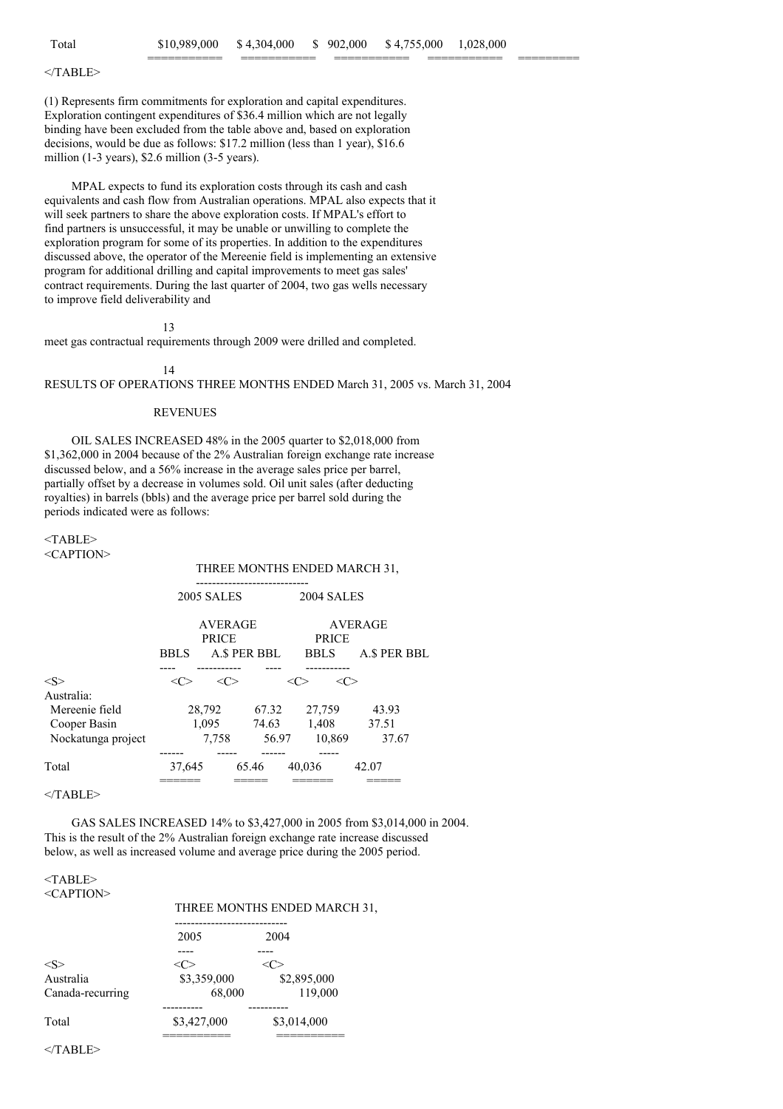=========== =========== =========== =========== =========

#### $<$ /TABLE>

(1) Represents firm commitments for exploration and capital expenditures. Exploration contingent expenditures of \$36.4 million which are not legally binding have been excluded from the table above and, based on exploration decisions, would be due as follows: \$17.2 million (less than 1 year), \$16.6 million (1-3 years), \$2.6 million (3-5 years).

MPAL expects to fund its exploration costs through its cash and cash equivalents and cash flow from Australian operations. MPAL also expects that it will seek partners to share the above exploration costs. If MPAL's effort to find partners is unsuccessful, it may be unable or unwilling to complete the exploration program for some of its properties. In addition to the expenditures discussed above, the operator of the Mereenie field is implementing an extensive program for additional drilling and capital improvements to meet gas sales' contract requirements. During the last quarter of 2004, two gas wells necessary to improve field deliverability and

13 meet gas contractual requirements through 2009 were drilled and completed.

## 14

## RESULTS OF OPERATIONS THREE MONTHS ENDED March 31, 2005 vs. March 31, 2004

## **REVENUES**

OIL SALES INCREASED 48% in the 2005 quarter to \$2,018,000 from \$1,362,000 in 2004 because of the 2% Australian foreign exchange rate increase discussed below, and a 56% increase in the average sales price per barrel, partially offset by a decrease in volumes sold. Oil unit sales (after deducting royalties) in barrels (bbls) and the average price per barrel sold during the periods indicated were as follows:

<TABLE> <CAPTION>

#### THREE MONTHS ENDED MARCH 31,

|                    |                   |              | --------------------- |                   |              |  |
|--------------------|-------------------|--------------|-----------------------|-------------------|--------------|--|
|                    | <b>2005 SALES</b> |              |                       | <b>2004 SALES</b> |              |  |
|                    | <b>AVERAGE</b>    |              |                       | AVERAGE           |              |  |
|                    |                   | <b>PRICE</b> |                       | <b>PRICE</b>      |              |  |
|                    | <b>BBLS</b>       | A.S PER BBL  |                       | <b>BBLS</b>       | A.\$ PER BBL |  |
|                    |                   |              |                       |                   |              |  |
| $<\leq>$           | <(``              | <c></c>      |                       | <ા `>             |              |  |
| Australia:         |                   |              |                       |                   |              |  |
| Mereenie field     | 28,792            |              | 67.32                 | 27,759            | 43.93        |  |
| Cooper Basin       | 1.095             |              | 74.63                 | 1,408             | 37.51        |  |
| Nockatunga project |                   | 7,758        | 56.97                 | 10,869            | 37.67        |  |
|                    |                   |              |                       |                   |              |  |
| Total              | 37,645            | 65.46        |                       | 40,036            | 42.07        |  |
|                    |                   |              |                       |                   |              |  |

 $<$ /TABLE>

GAS SALES INCREASED 14% to \$3,427,000 in 2005 from \$3,014,000 in 2004. This is the result of the 2% Australian foreign exchange rate increase discussed below, as well as increased volume and average price during the 2005 period.

#### <TABLE> <CAPTION>

### THREE MONTHS ENDED MARCH 31,

|                                                                 | 2005        | 2004        |
|-----------------------------------------------------------------|-------------|-------------|
|                                                                 |             |             |
| $<\!\!S\!\!>$                                                   |             |             |
| Australia                                                       | \$3,359,000 | \$2,895,000 |
| Canada-recurring                                                | 68,000      | 119,000     |
|                                                                 |             |             |
| Total                                                           | \$3,427,000 | \$3,014,000 |
|                                                                 |             |             |
| $\times$ / $\Gamma$ $\Lambda$ $\Gamma$ $\Gamma$ $\Gamma$ $\sim$ |             |             |

 $<$  $TABLE$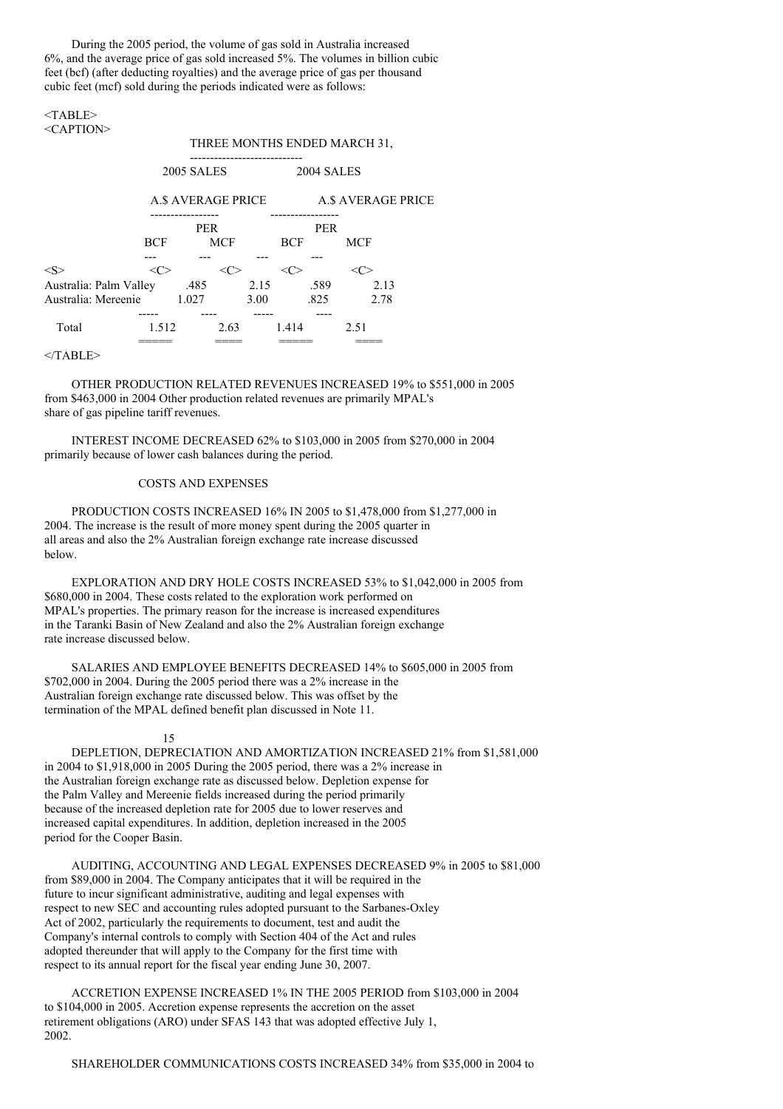During the 2005 period, the volume of gas sold in Australia increased 6%, and the average price of gas sold increased 5%. The volumes in billion cubic feet (bcf) (after deducting royalties) and the average price of gas per thousand cubic feet (mcf) sold during the periods indicated were as follows:

#### $<$ TABLE $>$ <CAPTION>

#### THREE MONTHS ENDED MARCH 31,



 $<$ /TABLE>

OTHER PRODUCTION RELATED REVENUES INCREASED 19% to \$551,000 in 2005 from \$463,000 in 2004 Other production related revenues are primarily MPAL's share of gas pipeline tariff revenues.

INTEREST INCOME DECREASED 62% to \$103,000 in 2005 from \$270,000 in 2004 primarily because of lower cash balances during the period.

### COSTS AND EXPENSES

PRODUCTION COSTS INCREASED 16% IN 2005 to \$1,478,000 from \$1,277,000 in 2004. The increase is the result of more money spent during the 2005 quarter in all areas and also the 2% Australian foreign exchange rate increase discussed below.

EXPLORATION AND DRY HOLE COSTS INCREASED 53% to \$1,042,000 in 2005 from \$680,000 in 2004. These costs related to the exploration work performed on MPAL's properties. The primary reason for the increase is increased expenditures in the Taranki Basin of New Zealand and also the 2% Australian foreign exchange rate increase discussed below.

SALARIES AND EMPLOYEE BENEFITS DECREASED 14% to \$605,000 in 2005 from \$702,000 in 2004. During the 2005 period there was a 2% increase in the Australian foreign exchange rate discussed below. This was offset by the termination of the MPAL defined benefit plan discussed in Note 11.

#### 15

DEPLETION, DEPRECIATION AND AMORTIZATION INCREASED 21% from \$1,581,000 in 2004 to \$1,918,000 in 2005 During the 2005 period, there was a 2% increase in the Australian foreign exchange rate as discussed below. Depletion expense for the Palm Valley and Mereenie fields increased during the period primarily because of the increased depletion rate for 2005 due to lower reserves and increased capital expenditures. In addition, depletion increased in the 2005 period for the Cooper Basin.

AUDITING, ACCOUNTING AND LEGAL EXPENSES DECREASED 9% in 2005 to \$81,000 from \$89,000 in 2004. The Company anticipates that it will be required in the future to incur significant administrative, auditing and legal expenses with respect to new SEC and accounting rules adopted pursuant to the Sarbanes-Oxley Act of 2002, particularly the requirements to document, test and audit the Company's internal controls to comply with Section 404 of the Act and rules adopted thereunder that will apply to the Company for the first time with respect to its annual report for the fiscal year ending June 30, 2007.

ACCRETION EXPENSE INCREASED 1% IN THE 2005 PERIOD from \$103,000 in 2004 to \$104,000 in 2005. Accretion expense represents the accretion on the asset retirement obligations (ARO) under SFAS 143 that was adopted effective July 1, 2002.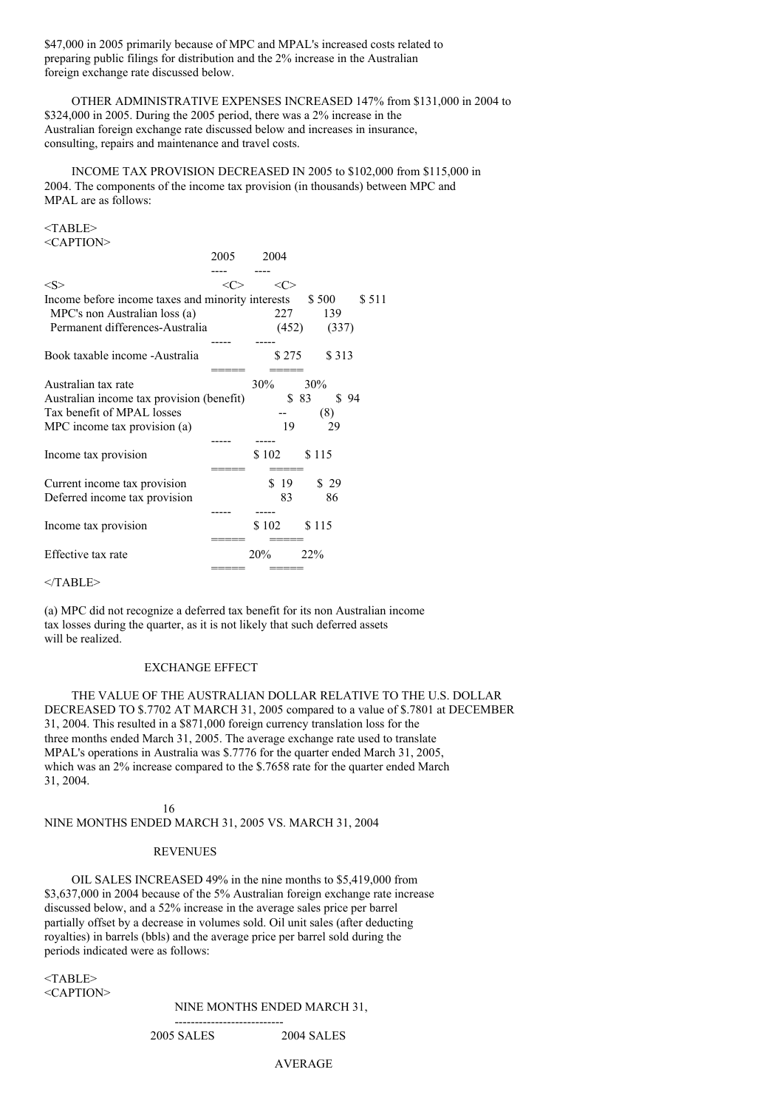\$47,000 in 2005 primarily because of MPC and MPAL's increased costs related to preparing public filings for distribution and the 2% increase in the Australian foreign exchange rate discussed below.

OTHER ADMINISTRATIVE EXPENSES INCREASED 147% from \$131,000 in 2004 to \$324,000 in 2005. During the 2005 period, there was a 2% increase in the Australian foreign exchange rate discussed below and increases in insurance, consulting, repairs and maintenance and travel costs.

INCOME TAX PROVISION DECREASED IN 2005 to \$102,000 from \$115,000 in 2004. The components of the income tax provision (in thousands) between MPC and MPAL are as follows:

 $<$ TABLE>

| <caption></caption>                               |           |               |                 |
|---------------------------------------------------|-----------|---------------|-----------------|
|                                                   | 2005      | 2004          |                 |
|                                                   |           |               |                 |
| $<\ge$                                            | $<\infty$ | $<\!\!C\!\!>$ |                 |
| Income before income taxes and minority interests |           |               | \$511<br>\$500  |
| MPC's non Australian loss (a)                     |           | 227           | 139             |
| Permanent differences-Australia                   |           |               | $(452)$ $(337)$ |
|                                                   |           |               |                 |
| Book taxable income - Australia                   |           | \$275         | \$ 313          |
|                                                   |           |               |                 |
| Australian tax rate                               |           | 30%           | 30%             |
| Australian income tax provision (benefit)         |           | \$83          | \$94            |
| Tax benefit of MPAL losses                        |           |               | (8)             |
| MPC income tax provision (a)                      |           | 19            | 29              |
|                                                   |           |               |                 |
| Income tax provision                              |           | \$102         | \$115           |
|                                                   |           |               |                 |
| Current income tax provision                      |           | \$19          | \$29            |
| Deferred income tax provision                     |           | 83            | 86              |
|                                                   |           |               |                 |
| Income tax provision                              |           | \$102         | \$115           |
|                                                   |           |               |                 |
| Effective tax rate                                |           | 20%           | 22%             |

 $<$ /TABLE>

(a) MPC did not recognize a deferred tax benefit for its non Australian income tax losses during the quarter, as it is not likely that such deferred assets will be realized.

===== =====

### EXCHANGE EFFECT

THE VALUE OF THE AUSTRALIAN DOLLAR RELATIVE TO THE U.S. DOLLAR DECREASED TO \$.7702 AT MARCH 31, 2005 compared to a value of \$.7801 at DECEMBER 31, 2004. This resulted in a \$871,000 foreign currency translation loss for the three months ended March 31, 2005. The average exchange rate used to translate MPAL's operations in Australia was \$.7776 for the quarter ended March 31, 2005, which was an 2% increase compared to the \$.7658 rate for the quarter ended March 31, 2004.

## 16

NINE MONTHS ENDED MARCH 31, 2005 VS. MARCH 31, 2004

### **REVENUES**

OIL SALES INCREASED 49% in the nine months to \$5,419,000 from \$3,637,000 in 2004 because of the 5% Australian foreign exchange rate increase discussed below, and a 52% increase in the average sales price per barrel partially offset by a decrease in volumes sold. Oil unit sales (after deducting royalties) in barrels (bbls) and the average price per barrel sold during the periods indicated were as follows:

 $<$ TABLE> <CAPTION>

NINE MONTHS ENDED MARCH 31,

--------------------------- 2005 SALES 2004 SALES

AVERAGE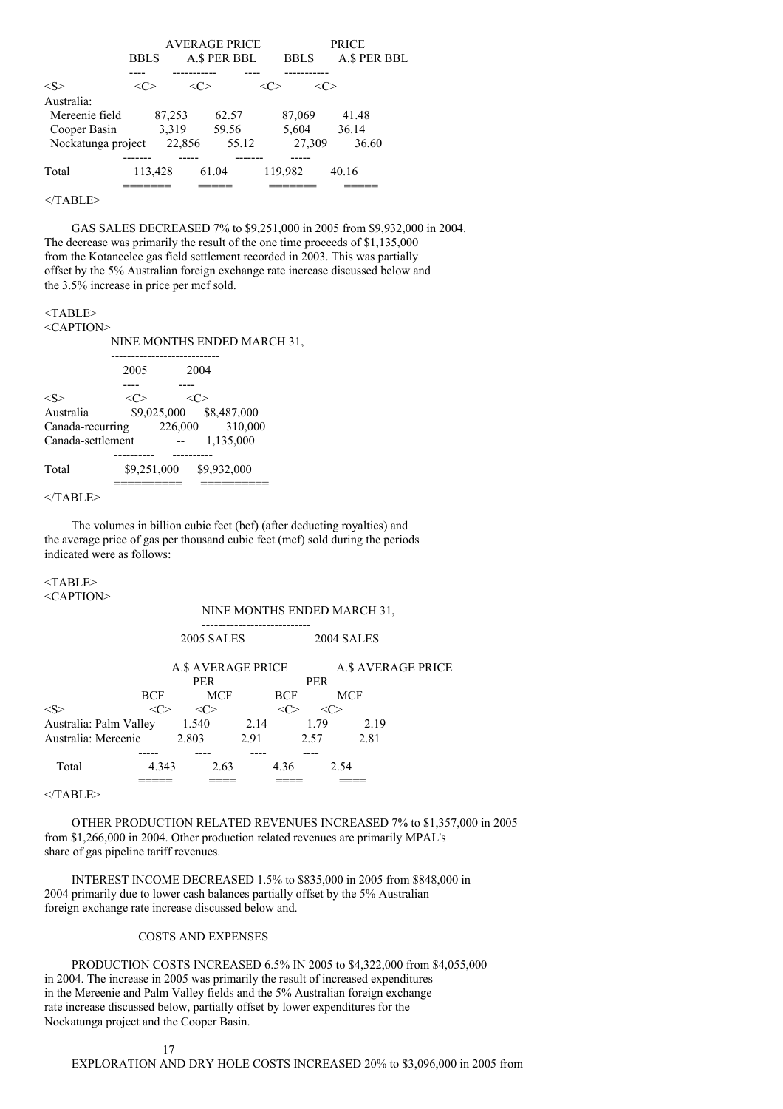|                    |             |         | <b>AVERAGE PRICE</b> |       |             | <b>PRICE</b> |              |
|--------------------|-------------|---------|----------------------|-------|-------------|--------------|--------------|
|                    | <b>BBLS</b> |         | A.\$ PER BBL         |       | <b>BBLS</b> |              | A.\$ PER BBL |
|                    |             |         |                      |       |             |              |              |
| $<\leq>$           |             |         |                      |       |             |              |              |
| Australia:         |             |         |                      |       |             |              |              |
| Mereenie field     |             | 87,253  | 62.57                |       | 87,069      |              | 41.48        |
| Cooper Basin       |             | 3,319   | 59.56                |       | 5,604       |              | 36.14        |
| Nockatunga project |             | 22,856  |                      | 55.12 | 27,309      |              | 36.60        |
|                    |             |         |                      |       |             |              |              |
| Total              |             | 113,428 | 61.04                |       | 119,982     | 40.16        |              |
|                    |             |         |                      |       |             |              |              |
| $\langle$ TABLE>   |             |         |                      |       |             |              |              |

GAS SALES DECREASED 7% to \$9,251,000 in 2005 from \$9,932,000 in 2004. The decrease was primarily the result of the one time proceeds of \$1,135,000 from the Kotaneelee gas field settlement recorded in 2003. This was partially offset by the 5% Australian foreign exchange rate increase discussed below and the 3.5% increase in price per mcf sold.

## <TABLE>

<CAPTION>

| SUAP HUN2         |               |                             |             |           |  |
|-------------------|---------------|-----------------------------|-------------|-----------|--|
|                   |               | NINE MONTHS ENDED MARCH 31, |             |           |  |
|                   | 2005          |                             | 2004        |           |  |
|                   |               |                             |             |           |  |
| $<\!\!S\!\!>$     | $<\!\!C\!\!>$ |                             |             |           |  |
| Australia         |               | \$9,025,000 \$8,487,000     |             |           |  |
| Canada-recurring  |               | 226,000                     |             | 310,000   |  |
| Canada-settlement |               |                             |             | 1,135,000 |  |
|                   |               |                             |             |           |  |
| Total             |               | \$9,251,000                 | \$9,932,000 |           |  |
|                   |               |                             |             |           |  |
|                   |               |                             |             |           |  |

## $<$ /TABLE>

The volumes in billion cubic feet (bcf) (after deducting royalties) and the average price of gas per thousand cubic feet (mcf) sold during the periods indicated were as follows:

 $<$ TABLE $>$ <CAPTION>

## NINE MONTHS ENDED MARCH 31,

|                        |       | 2005 SALES                              |      |            | <b>2004 SALES</b>   |      |                           |  |
|------------------------|-------|-----------------------------------------|------|------------|---------------------|------|---------------------------|--|
|                        |       | <b>A.\$ AVERAGE PRICE</b><br><b>PER</b> |      |            | <b>PER</b>          |      | <b>A.\$ AVERAGE PRICE</b> |  |
|                        | BCF   | MCF                                     |      | <b>BCF</b> |                     | MCF  |                           |  |
| <s></s>                | <<    | <<>                                     |      | <േ         | $\langle C \rangle$ |      |                           |  |
| Australia: Palm Valley |       | 1.540                                   | 2.14 |            | 1.79                |      | 2.19                      |  |
| Australia: Mereenie    |       | 2.803                                   | 2.91 |            | 2.57                |      | 2.81                      |  |
|                        |       |                                         |      |            |                     |      |                           |  |
| Total                  | 4.343 | 2.63                                    |      | 4.36       |                     | 2.54 |                           |  |
|                        |       |                                         |      |            |                     |      |                           |  |

---------------------------

</TABLE>

OTHER PRODUCTION RELATED REVENUES INCREASED 7% to \$1,357,000 in 2005 from \$1,266,000 in 2004. Other production related revenues are primarily MPAL's share of gas pipeline tariff revenues.

INTEREST INCOME DECREASED 1.5% to \$835,000 in 2005 from \$848,000 in 2004 primarily due to lower cash balances partially offset by the 5% Australian foreign exchange rate increase discussed below and.

## COSTS AND EXPENSES

PRODUCTION COSTS INCREASED 6.5% IN 2005 to \$4,322,000 from \$4,055,000 in 2004. The increase in 2005 was primarily the result of increased expenditures in the Mereenie and Palm Valley fields and the 5% Australian foreign exchange rate increase discussed below, partially offset by lower expenditures for the Nockatunga project and the Cooper Basin.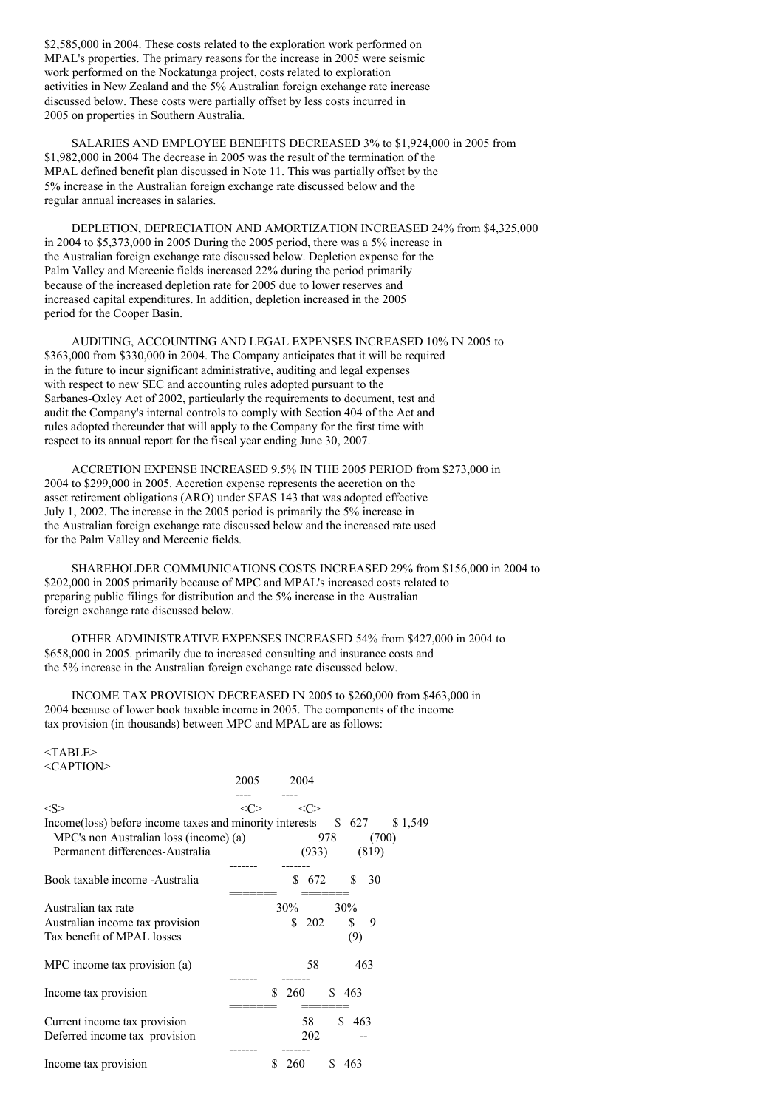\$2,585,000 in 2004. These costs related to the exploration work performed on MPAL's properties. The primary reasons for the increase in 2005 were seismic work performed on the Nockatunga project, costs related to exploration activities in New Zealand and the 5% Australian foreign exchange rate increase discussed below. These costs were partially offset by less costs incurred in 2005 on properties in Southern Australia.

SALARIES AND EMPLOYEE BENEFITS DECREASED 3% to \$1,924,000 in 2005 from \$1,982,000 in 2004 The decrease in 2005 was the result of the termination of the MPAL defined benefit plan discussed in Note 11. This was partially offset by the 5% increase in the Australian foreign exchange rate discussed below and the regular annual increases in salaries.

DEPLETION, DEPRECIATION AND AMORTIZATION INCREASED 24% from \$4,325,000 in 2004 to \$5,373,000 in 2005 During the 2005 period, there was a 5% increase in the Australian foreign exchange rate discussed below. Depletion expense for the Palm Valley and Mereenie fields increased 22% during the period primarily because of the increased depletion rate for 2005 due to lower reserves and increased capital expenditures. In addition, depletion increased in the 2005 period for the Cooper Basin.

AUDITING, ACCOUNTING AND LEGAL EXPENSES INCREASED 10% IN 2005 to \$363,000 from \$330,000 in 2004. The Company anticipates that it will be required in the future to incur significant administrative, auditing and legal expenses with respect to new SEC and accounting rules adopted pursuant to the Sarbanes-Oxley Act of 2002, particularly the requirements to document, test and audit the Company's internal controls to comply with Section 404 of the Act and rules adopted thereunder that will apply to the Company for the first time with respect to its annual report for the fiscal year ending June 30, 2007.

ACCRETION EXPENSE INCREASED 9.5% IN THE 2005 PERIOD from \$273,000 in 2004 to \$299,000 in 2005. Accretion expense represents the accretion on the asset retirement obligations (ARO) under SFAS 143 that was adopted effective July 1, 2002. The increase in the 2005 period is primarily the 5% increase in the Australian foreign exchange rate discussed below and the increased rate used for the Palm Valley and Mereenie fields.

SHAREHOLDER COMMUNICATIONS COSTS INCREASED 29% from \$156,000 in 2004 to \$202,000 in 2005 primarily because of MPC and MPAL's increased costs related to preparing public filings for distribution and the 5% increase in the Australian foreign exchange rate discussed below.

OTHER ADMINISTRATIVE EXPENSES INCREASED 54% from \$427,000 in 2004 to \$658,000 in 2005. primarily due to increased consulting and insurance costs and the 5% increase in the Australian foreign exchange rate discussed below.

INCOME TAX PROVISION DECREASED IN 2005 to \$260,000 from \$463,000 in 2004 because of lower book taxable income in 2005. The components of the income tax provision (in thousands) between MPC and MPAL are as follows:

#### <TABLE>  $\langle C$  A PTION $>$

| NUMBRO N                                                                                                                                    |      |     |                 |       |                |         |
|---------------------------------------------------------------------------------------------------------------------------------------------|------|-----|-----------------|-------|----------------|---------|
|                                                                                                                                             | 2005 |     | 2004            |       |                |         |
|                                                                                                                                             |      |     |                 |       |                |         |
| $<\ge$                                                                                                                                      | <<>  |     | <<>             |       |                |         |
| Income(loss) before income taxes and minority interests $$627$<br>MPC's non Australian loss (income) (a)<br>Permanent differences-Australia |      |     | (933)           | 978   | (700)<br>(819) | \$1,549 |
|                                                                                                                                             |      |     |                 |       |                |         |
| Book taxable income -Australia                                                                                                              |      |     | \$672           |       | 30<br>S.       |         |
| Australian tax rate                                                                                                                         |      | 30% |                 | 30%   |                |         |
| Australian income tax provision                                                                                                             |      |     | $\frac{1}{202}$ |       | \$<br>9        |         |
| Tax benefit of MPAL losses                                                                                                                  |      |     |                 |       | (9)            |         |
| MPC income tax provision (a)                                                                                                                |      |     | 58              |       | 463            |         |
|                                                                                                                                             |      | S   | 260             | \$463 |                |         |
| Income tax provision                                                                                                                        |      |     |                 |       |                |         |
| Current income tax provision                                                                                                                |      |     | 58              |       | \$463          |         |
| Deferred income tax provision                                                                                                               |      |     | 202             |       |                |         |
|                                                                                                                                             |      |     |                 |       |                |         |
| Income tax provision                                                                                                                        |      | S   | 260             | S     | 463            |         |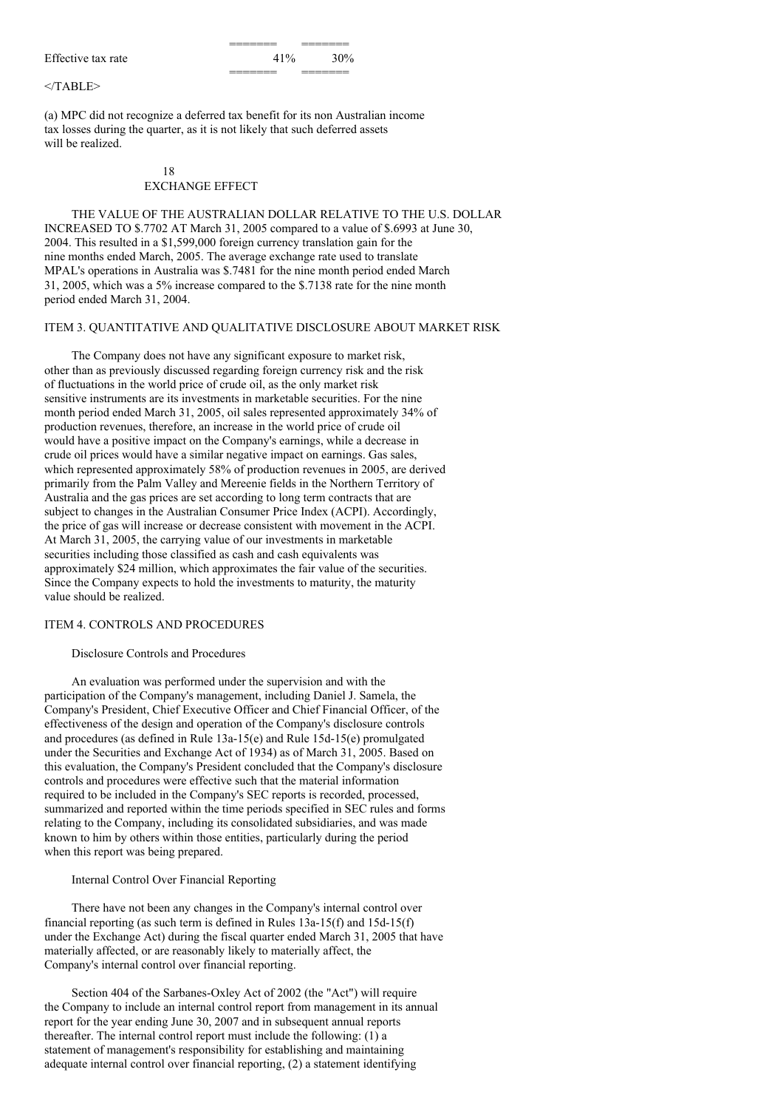======= ======= Effective tax rate  $41\%$   $30\%$ 

======= =======

 $<$ /TABLE>

(a) MPC did not recognize a deferred tax benefit for its non Australian income tax losses during the quarter, as it is not likely that such deferred assets will be realized.

## 18 EXCHANGE EFFECT

THE VALUE OF THE AUSTRALIAN DOLLAR RELATIVE TO THE U.S. DOLLAR INCREASED TO \$.7702 AT March 31, 2005 compared to a value of \$.6993 at June 30, 2004. This resulted in a \$1,599,000 foreign currency translation gain for the nine months ended March, 2005. The average exchange rate used to translate MPAL's operations in Australia was \$.7481 for the nine month period ended March 31, 2005, which was a 5% increase compared to the \$.7138 rate for the nine month period ended March 31, 2004.

## ITEM 3. QUANTITATIVE AND QUALITATIVE DISCLOSURE ABOUT MARKET RISK

The Company does not have any significant exposure to market risk, other than as previously discussed regarding foreign currency risk and the risk of fluctuations in the world price of crude oil, as the only market risk sensitive instruments are its investments in marketable securities. For the nine month period ended March 31, 2005, oil sales represented approximately 34% of production revenues, therefore, an increase in the world price of crude oil would have a positive impact on the Company's earnings, while a decrease in crude oil prices would have a similar negative impact on earnings. Gas sales, which represented approximately 58% of production revenues in 2005, are derived primarily from the Palm Valley and Mereenie fields in the Northern Territory of Australia and the gas prices are set according to long term contracts that are subject to changes in the Australian Consumer Price Index (ACPI). Accordingly, the price of gas will increase or decrease consistent with movement in the ACPI. At March 31, 2005, the carrying value of our investments in marketable securities including those classified as cash and cash equivalents was approximately \$24 million, which approximates the fair value of the securities. Since the Company expects to hold the investments to maturity, the maturity value should be realized.

### ITEM 4. CONTROLS AND PROCEDURES

### Disclosure Controls and Procedures

An evaluation was performed under the supervision and with the participation of the Company's management, including Daniel J. Samela, the Company's President, Chief Executive Officer and Chief Financial Officer, of the effectiveness of the design and operation of the Company's disclosure controls and procedures (as defined in Rule 13a-15(e) and Rule 15d-15(e) promulgated under the Securities and Exchange Act of 1934) as of March 31, 2005. Based on this evaluation, the Company's President concluded that the Company's disclosure controls and procedures were effective such that the material information required to be included in the Company's SEC reports is recorded, processed, summarized and reported within the time periods specified in SEC rules and forms relating to the Company, including its consolidated subsidiaries, and was made known to him by others within those entities, particularly during the period when this report was being prepared.

## Internal Control Over Financial Reporting

There have not been any changes in the Company's internal control over financial reporting (as such term is defined in Rules 13a-15(f) and 15d-15(f) under the Exchange Act) during the fiscal quarter ended March 31, 2005 that have materially affected, or are reasonably likely to materially affect, the Company's internal control over financial reporting.

Section 404 of the Sarbanes-Oxley Act of 2002 (the "Act") will require the Company to include an internal control report from management in its annual report for the year ending June 30, 2007 and in subsequent annual reports thereafter. The internal control report must include the following: (1) a statement of management's responsibility for establishing and maintaining adequate internal control over financial reporting, (2) a statement identifying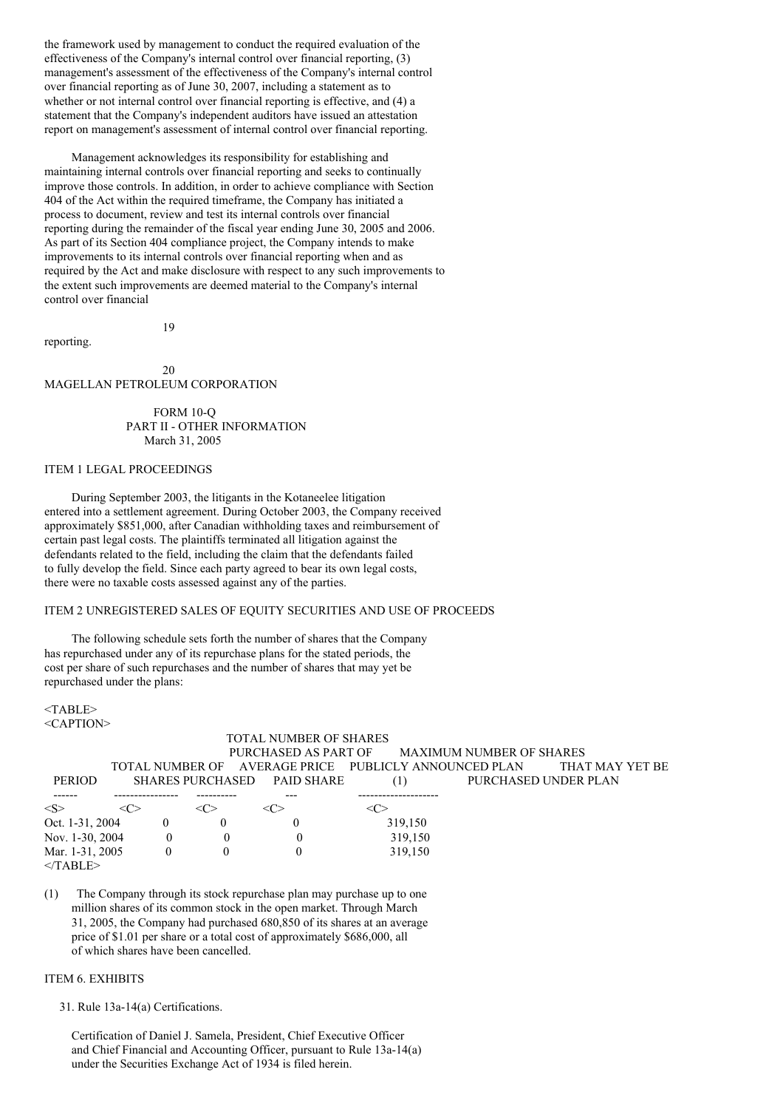the framework used by management to conduct the required evaluation of the effectiveness of the Company's internal control over financial reporting, (3) management's assessment of the effectiveness of the Company's internal control over financial reporting as of June 30, 2007, including a statement as to whether or not internal control over financial reporting is effective, and (4) a statement that the Company's independent auditors have issued an attestation report on management's assessment of internal control over financial reporting.

Management acknowledges its responsibility for establishing and maintaining internal controls over financial reporting and seeks to continually improve those controls. In addition, in order to achieve compliance with Section 404 of the Act within the required timeframe, the Company has initiated a process to document, review and test its internal controls over financial reporting during the remainder of the fiscal year ending June 30, 2005 and 2006. As part of its Section 404 compliance project, the Company intends to make improvements to its internal controls over financial reporting when and as required by the Act and make disclosure with respect to any such improvements to the extent such improvements are deemed material to the Company's internal control over financial

reporting.

20 MAGELLAN PETROLEUM CORPORATION

19

FORM 10-Q PART II - OTHER INFORMATION March 31, 2005

## ITEM 1 LEGAL PROCEEDINGS

During September 2003, the litigants in the Kotaneelee litigation entered into a settlement agreement. During October 2003, the Company received approximately \$851,000, after Canadian withholding taxes and reimbursement of certain past legal costs. The plaintiffs terminated all litigation against the defendants related to the field, including the claim that the defendants failed to fully develop the field. Since each party agreed to bear its own legal costs, there were no taxable costs assessed against any of the parties.

## ITEM 2 UNREGISTERED SALES OF EQUITY SECURITIES AND USE OF PROCEEDS

The following schedule sets forth the number of shares that the Company has repurchased under any of its repurchase plans for the stated periods, the cost per share of such repurchases and the number of shares that may yet be repurchased under the plans:

<TABLE> <CAPTION>

## TOTAL NUMBER OF SHARES PURCHASED AS PART OF MAXIMUM NUMBER OF SHARES TOTAL NUMBER OF AVERAGE PRICE PUBLICLY ANNOUNCED PLAN THAT MAY YET BE PERIOD SHARES PURCHASED PAID SHARE (1) PURCHASED UNDER PLAN ------ ---------------- ---------- --- --------------------  $\langle S \rangle$   $\langle C \rangle$   $\langle C \rangle$   $\langle C \rangle$   $\langle C \rangle$ Oct. 1-31, 2004 0 0 0 319,150

| Oct. 1-31, 2004 |  | 319.150 |
|-----------------|--|---------|
| Nov. 1-30, 2004 |  | 319.150 |
| Mar. 1-31, 2005 |  | 319,150 |
| $<$ TABLE>      |  |         |

(1) The Company through its stock repurchase plan may purchase up to one million shares of its common stock in the open market. Through March 31, 2005, the Company had purchased 680,850 of its shares at an average price of \$1.01 per share or a total cost of approximately \$686,000, all of which shares have been cancelled.

### ITEM 6. EXHIBITS

31. Rule 13a-14(a) Certifications.

Certification of Daniel J. Samela, President, Chief Executive Officer and Chief Financial and Accounting Officer, pursuant to Rule 13a-14(a) under the Securities Exchange Act of 1934 is filed herein.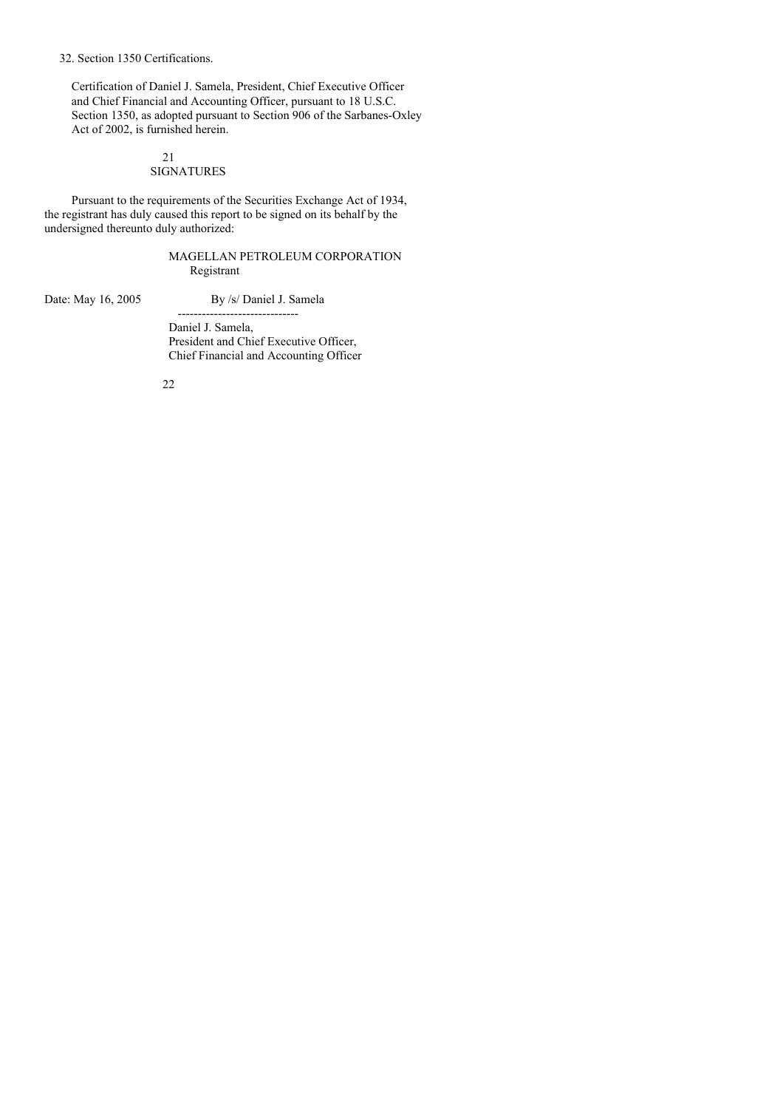### 32. Section 1350 Certifications.

Certification of Daniel J. Samela, President, Chief Executive Officer and Chief Financial and Accounting Officer, pursuant to 18 U.S.C. Section 1350, as adopted pursuant to Section 906 of the Sarbanes-Oxley Act of 2002, is furnished herein.

### 21 SIGNATURES

Pursuant to the requirements of the Securities Exchange Act of 1934, the registrant has duly caused this report to be signed on its behalf by the undersigned thereunto duly authorized:

## MAGELLAN PETROLEUM CORPORATION Registrant

Date: May 16, 2005 By /s/ Daniel J. Samela ------------------------------

> Daniel J. Samela, President and Chief Executive Officer, Chief Financial and Accounting Officer

22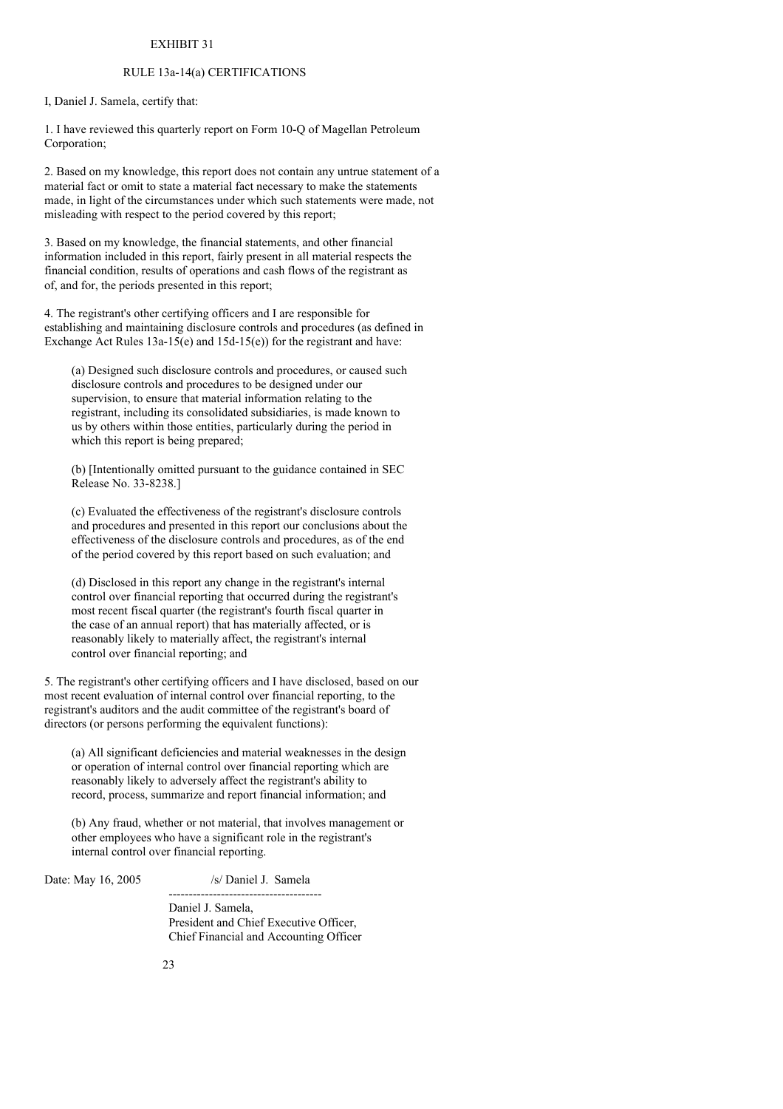### EXHIBIT 31

### RULE 13a-14(a) CERTIFICATIONS

I, Daniel J. Samela, certify that:

1. I have reviewed this quarterly report on Form 10-Q of Magellan Petroleum Corporation;

2. Based on my knowledge, this report does not contain any untrue statement of a material fact or omit to state a material fact necessary to make the statements made, in light of the circumstances under which such statements were made, not misleading with respect to the period covered by this report;

3. Based on my knowledge, the financial statements, and other financial information included in this report, fairly present in all material respects the financial condition, results of operations and cash flows of the registrant as of, and for, the periods presented in this report;

4. The registrant's other certifying officers and I are responsible for establishing and maintaining disclosure controls and procedures (as defined in Exchange Act Rules  $13a-15(e)$  and  $15d-15(e)$  for the registrant and have:

(a) Designed such disclosure controls and procedures, or caused such disclosure controls and procedures to be designed under our supervision, to ensure that material information relating to the registrant, including its consolidated subsidiaries, is made known to us by others within those entities, particularly during the period in which this report is being prepared;

(b) [Intentionally omitted pursuant to the guidance contained in SEC Release No. 33-8238.]

(c) Evaluated the effectiveness of the registrant's disclosure controls and procedures and presented in this report our conclusions about the effectiveness of the disclosure controls and procedures, as of the end of the period covered by this report based on such evaluation; and

(d) Disclosed in this report any change in the registrant's internal control over financial reporting that occurred during the registrant's most recent fiscal quarter (the registrant's fourth fiscal quarter in the case of an annual report) that has materially affected, or is reasonably likely to materially affect, the registrant's internal control over financial reporting; and

5. The registrant's other certifying officers and I have disclosed, based on our most recent evaluation of internal control over financial reporting, to the registrant's auditors and the audit committee of the registrant's board of directors (or persons performing the equivalent functions):

(a) All significant deficiencies and material weaknesses in the design or operation of internal control over financial reporting which are reasonably likely to adversely affect the registrant's ability to record, process, summarize and report financial information; and

(b) Any fraud, whether or not material, that involves management or other employees who have a significant role in the registrant's internal control over financial reporting.

Date: May 16, 2005 /s/ Daniel J. Samela

--------------------------------------

Daniel J. Samela, President and Chief Executive Officer, Chief Financial and Accounting Officer